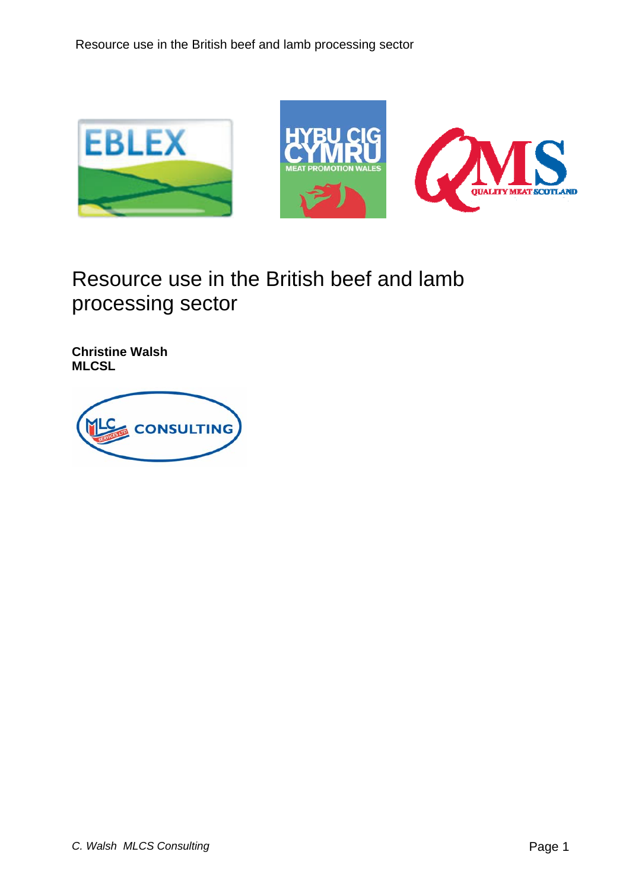

**Christine Walsh MLCSL** 

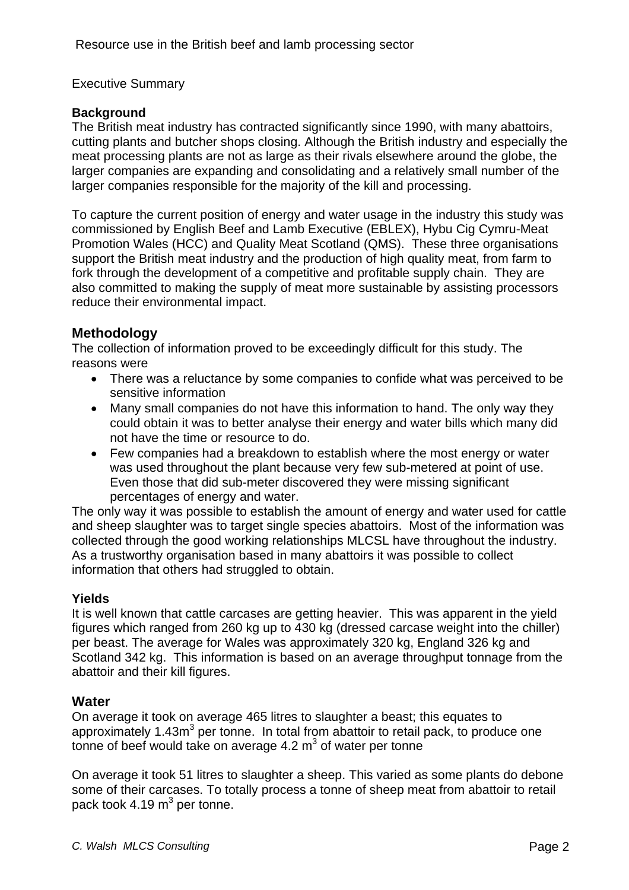## Executive Summary

#### **Background**

The British meat industry has contracted significantly since 1990, with many abattoirs, cutting plants and butcher shops closing. Although the British industry and especially the meat processing plants are not as large as their rivals elsewhere around the globe, the larger companies are expanding and consolidating and a relatively small number of the larger companies responsible for the majority of the kill and processing.

To capture the current position of energy and water usage in the industry this study was commissioned by English Beef and Lamb Executive (EBLEX), Hybu Cig Cymru-Meat Promotion Wales (HCC) and Quality Meat Scotland (QMS). These three organisations support the British meat industry and the production of high quality meat, from farm to fork through the development of a competitive and profitable supply chain. They are also committed to making the supply of meat more sustainable by assisting processors reduce their environmental impact.

# **Methodology**

The collection of information proved to be exceedingly difficult for this study. The reasons were

- There was a reluctance by some companies to confide what was perceived to be sensitive information
- Many small companies do not have this information to hand. The only way they could obtain it was to better analyse their energy and water bills which many did not have the time or resource to do.
- Few companies had a breakdown to establish where the most energy or water was used throughout the plant because very few sub-metered at point of use. Even those that did sub-meter discovered they were missing significant percentages of energy and water.

The only way it was possible to establish the amount of energy and water used for cattle and sheep slaughter was to target single species abattoirs. Most of the information was collected through the good working relationships MLCSL have throughout the industry. As a trustworthy organisation based in many abattoirs it was possible to collect information that others had struggled to obtain.

# **Yields**

It is well known that cattle carcases are getting heavier. This was apparent in the yield figures which ranged from 260 kg up to 430 kg (dressed carcase weight into the chiller) per beast. The average for Wales was approximately 320 kg, England 326 kg and Scotland 342 kg. This information is based on an average throughput tonnage from the abattoir and their kill figures.

# **Water**

On average it took on average 465 litres to slaughter a beast; this equates to approximately 1.43m<sup>3</sup> per tonne. In total from abattoir to retail pack, to produce one tonne of beef would take on average 4.2  $m^3$  of water per tonne

On average it took 51 litres to slaughter a sheep. This varied as some plants do debone some of their carcases. To totally process a tonne of sheep meat from abattoir to retail pack took 4.19  $m^3$  per tonne.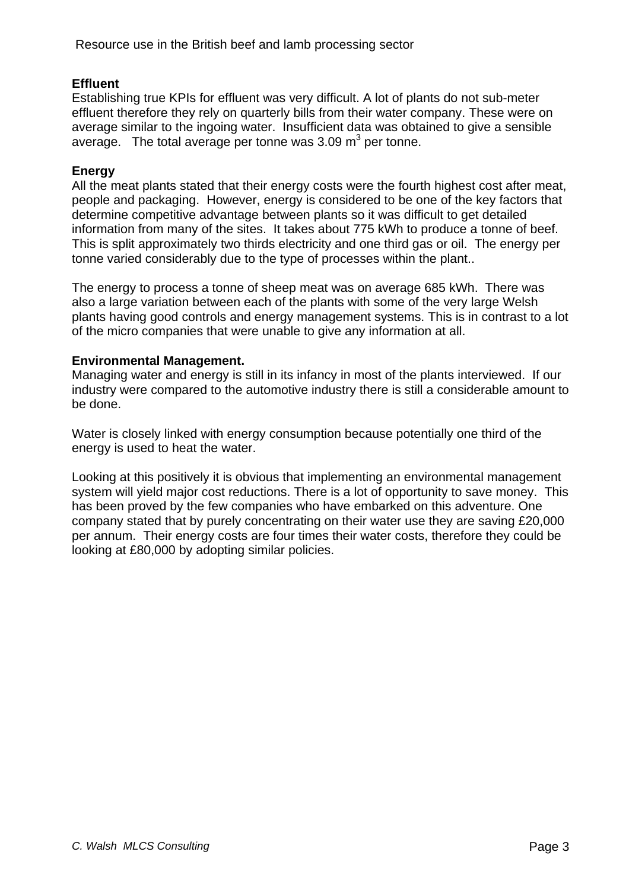#### **Effluent**

Establishing true KPIs for effluent was very difficult. A lot of plants do not sub-meter effluent therefore they rely on quarterly bills from their water company. These were on average similar to the ingoing water. Insufficient data was obtained to give a sensible average. The total average per tonne was 3.09  $\text{m}^3$  per tonne.

#### **Energy**

All the meat plants stated that their energy costs were the fourth highest cost after meat, people and packaging. However, energy is considered to be one of the key factors that determine competitive advantage between plants so it was difficult to get detailed information from many of the sites. It takes about 775 kWh to produce a tonne of beef. This is split approximately two thirds electricity and one third gas or oil. The energy per tonne varied considerably due to the type of processes within the plant..

The energy to process a tonne of sheep meat was on average 685 kWh. There was also a large variation between each of the plants with some of the very large Welsh plants having good controls and energy management systems. This is in contrast to a lot of the micro companies that were unable to give any information at all.

#### **Environmental Management.**

Managing water and energy is still in its infancy in most of the plants interviewed. If our industry were compared to the automotive industry there is still a considerable amount to be done.

Water is closely linked with energy consumption because potentially one third of the energy is used to heat the water.

Looking at this positively it is obvious that implementing an environmental management system will yield major cost reductions. There is a lot of opportunity to save money. This has been proved by the few companies who have embarked on this adventure. One company stated that by purely concentrating on their water use they are saving £20,000 per annum. Their energy costs are four times their water costs, therefore they could be looking at £80,000 by adopting similar policies.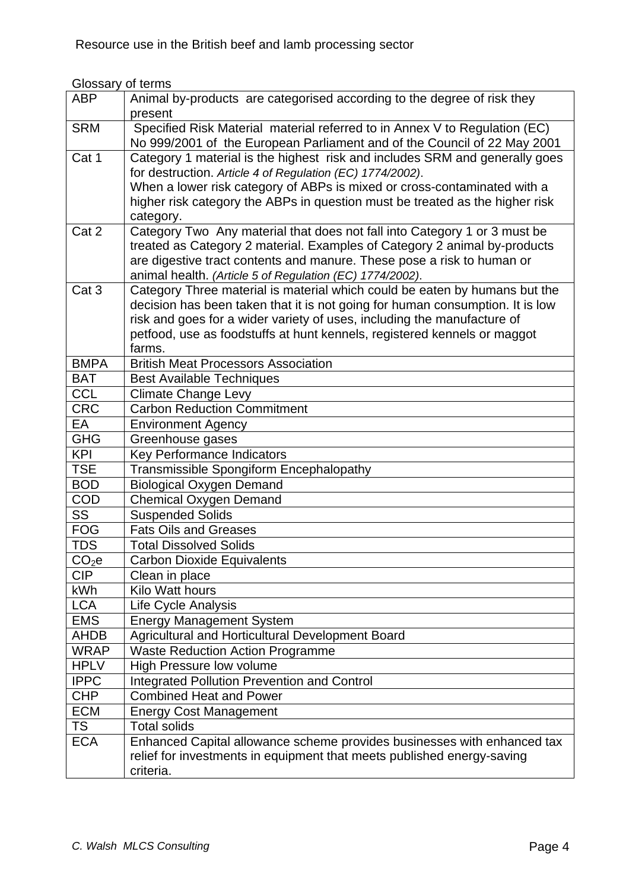# Glossary of terms

| <b>ABP</b>        | Animal by-products are categorised according to the degree of risk they<br>present                                                                                                                                                                                                                                           |
|-------------------|------------------------------------------------------------------------------------------------------------------------------------------------------------------------------------------------------------------------------------------------------------------------------------------------------------------------------|
| <b>SRM</b>        | Specified Risk Material material referred to in Annex V to Regulation (EC)<br>No 999/2001 of the European Parliament and of the Council of 22 May 2001                                                                                                                                                                       |
| Cat 1             | Category 1 material is the highest risk and includes SRM and generally goes<br>for destruction. Article 4 of Regulation (EC) 1774/2002).<br>When a lower risk category of ABPs is mixed or cross-contaminated with a<br>higher risk category the ABPs in question must be treated as the higher risk<br>category.            |
| Cat 2             | Category Two Any material that does not fall into Category 1 or 3 must be<br>treated as Category 2 material. Examples of Category 2 animal by-products<br>are digestive tract contents and manure. These pose a risk to human or<br>animal health. (Article 5 of Regulation (EC) 1774/2002).                                 |
| Cat <sub>3</sub>  | Category Three material is material which could be eaten by humans but the<br>decision has been taken that it is not going for human consumption. It is low<br>risk and goes for a wider variety of uses, including the manufacture of<br>petfood, use as foodstuffs at hunt kennels, registered kennels or maggot<br>farms. |
| <b>BMPA</b>       | <b>British Meat Processors Association</b>                                                                                                                                                                                                                                                                                   |
| <b>BAT</b>        | <b>Best Available Techniques</b>                                                                                                                                                                                                                                                                                             |
| <b>CCL</b>        | <b>Climate Change Levy</b>                                                                                                                                                                                                                                                                                                   |
| <b>CRC</b>        | <b>Carbon Reduction Commitment</b>                                                                                                                                                                                                                                                                                           |
| EA                | <b>Environment Agency</b>                                                                                                                                                                                                                                                                                                    |
| <b>GHG</b>        | Greenhouse gases                                                                                                                                                                                                                                                                                                             |
| <b>KPI</b>        | Key Performance Indicators                                                                                                                                                                                                                                                                                                   |
| <b>TSE</b>        | Transmissible Spongiform Encephalopathy                                                                                                                                                                                                                                                                                      |
| <b>BOD</b>        | <b>Biological Oxygen Demand</b>                                                                                                                                                                                                                                                                                              |
| <b>COD</b>        | <b>Chemical Oxygen Demand</b>                                                                                                                                                                                                                                                                                                |
| SS                | <b>Suspended Solids</b>                                                                                                                                                                                                                                                                                                      |
| <b>FOG</b>        | <b>Fats Oils and Greases</b>                                                                                                                                                                                                                                                                                                 |
| TDS               | <b>Total Dissolved Solids</b>                                                                                                                                                                                                                                                                                                |
| CO <sub>2</sub> e | <b>Carbon Dioxide Equivalents</b>                                                                                                                                                                                                                                                                                            |
| <b>CIP</b>        | Clean in place                                                                                                                                                                                                                                                                                                               |
| kWh               | Kilo Watt hours                                                                                                                                                                                                                                                                                                              |
| <b>LCA</b>        | Life Cycle Analysis                                                                                                                                                                                                                                                                                                          |
| <b>EMS</b>        | <b>Energy Management System</b>                                                                                                                                                                                                                                                                                              |
| <b>AHDB</b>       | Agricultural and Horticultural Development Board                                                                                                                                                                                                                                                                             |
| <b>WRAP</b>       | <b>Waste Reduction Action Programme</b>                                                                                                                                                                                                                                                                                      |
| <b>HPLV</b>       | High Pressure low volume                                                                                                                                                                                                                                                                                                     |
| <b>IPPC</b>       | <b>Integrated Pollution Prevention and Control</b>                                                                                                                                                                                                                                                                           |
| <b>CHP</b>        | <b>Combined Heat and Power</b>                                                                                                                                                                                                                                                                                               |
| <b>ECM</b>        | <b>Energy Cost Management</b>                                                                                                                                                                                                                                                                                                |
| <b>TS</b>         | <b>Total solids</b>                                                                                                                                                                                                                                                                                                          |
| <b>ECA</b>        | Enhanced Capital allowance scheme provides businesses with enhanced tax<br>relief for investments in equipment that meets published energy-saving<br>criteria.                                                                                                                                                               |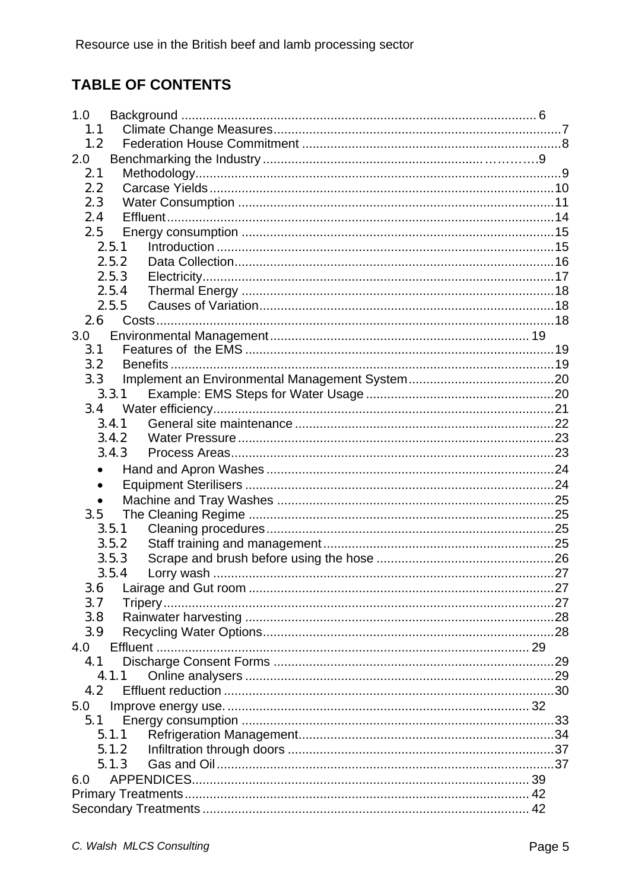# **TABLE OF CONTENTS**

| 1.0       |  |
|-----------|--|
| 1.1       |  |
| 1.2       |  |
| 2.0       |  |
| 2.1       |  |
| 2.2       |  |
| 2.3       |  |
| 2.4       |  |
| 2.5       |  |
| 2.5.1     |  |
| 2.5.2     |  |
| 2.5.3     |  |
| 2.5.4     |  |
| 2.5.5     |  |
| 2.6       |  |
| 3.0       |  |
| 3.1       |  |
| 3.2       |  |
| 3.3       |  |
| 3.3.1     |  |
| 3.4       |  |
| 3.4.1     |  |
| 3.4.2     |  |
| 3.4.3     |  |
|           |  |
| $\bullet$ |  |
|           |  |
| 3.5       |  |
| 3.5.1     |  |
| 3.5.2     |  |
| 3.5.3     |  |
| 3.5.4     |  |
| 3.6       |  |
| 3.7       |  |
| 3.8       |  |
| 3.9       |  |
| 4.0       |  |
| 4.1       |  |
| 4.1.1     |  |
| 4.2       |  |
| 5.0       |  |
| 5.1       |  |
| 5.1.1     |  |
| 5.1.2     |  |
| 5.1.3     |  |
| 6.0       |  |
|           |  |
|           |  |
|           |  |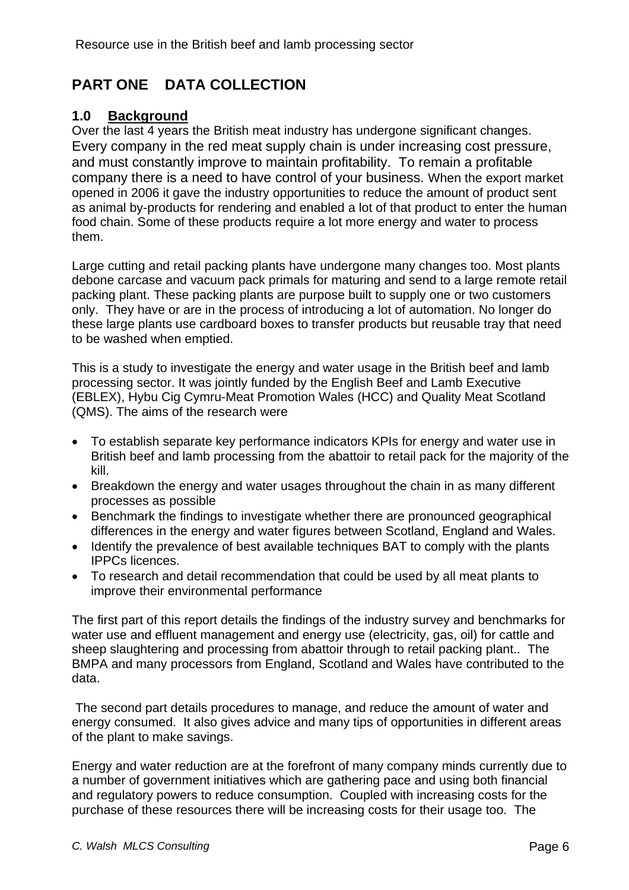# <span id="page-5-0"></span>**PART ONE DATA COLLECTION**

# **1.0 Background**

Over the last 4 years the British meat industry has undergone significant changes. Every company in the red meat supply chain is under increasing cost pressure, and must constantly improve to maintain profitability. To remain a profitable company there is a need to have control of your business. When the export market opened in 2006 it gave the industry opportunities to reduce the amount of product sent as animal by-products for rendering and enabled a lot of that product to enter the human food chain. Some of these products require a lot more energy and water to process them.

Large cutting and retail packing plants have undergone many changes too. Most plants debone carcase and vacuum pack primals for maturing and send to a large remote retail packing plant. These packing plants are purpose built to supply one or two customers only. They have or are in the process of introducing a lot of automation. No longer do these large plants use cardboard boxes to transfer products but reusable tray that need to be washed when emptied.

This is a study to investigate the energy and water usage in the British beef and lamb processing sector. It was jointly funded by the English Beef and Lamb Executive (EBLEX), Hybu Cig Cymru-Meat Promotion Wales (HCC) and Quality Meat Scotland (QMS). The aims of the research were

- To establish separate key performance indicators KPIs for energy and water use in British beef and lamb processing from the abattoir to retail pack for the majority of the kill.
- Breakdown the energy and water usages throughout the chain in as many different processes as possible
- Benchmark the findings to investigate whether there are pronounced geographical differences in the energy and water figures between Scotland, England and Wales.
- Identify the prevalence of best available techniques BAT to comply with the plants IPPCs licences.
- To research and detail recommendation that could be used by all meat plants to improve their environmental performance

The first part of this report details the findings of the industry survey and benchmarks for water use and effluent management and energy use (electricity, gas, oil) for cattle and sheep slaughtering and processing from abattoir through to retail packing plant.. The BMPA and many processors from England, Scotland and Wales have contributed to the data.

 The second part details procedures to manage, and reduce the amount of water and energy consumed. It also gives advice and many tips of opportunities in different areas of the plant to make savings.

Energy and water reduction are at the forefront of many company minds currently due to a number of government initiatives which are gathering pace and using both financial and regulatory powers to reduce consumption. Coupled with increasing costs for the purchase of these resources there will be increasing costs for their usage too. The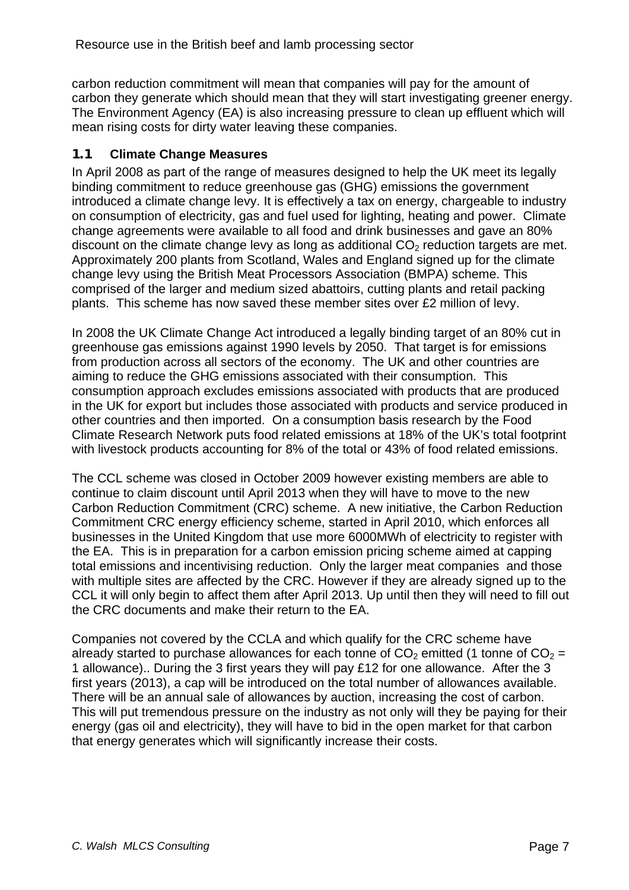<span id="page-6-0"></span>carbon reduction commitment will mean that companies will pay for the amount of carbon they generate which should mean that they will start investigating greener energy. The Environment Agency (EA) is also increasing pressure to clean up effluent which will mean rising costs for dirty water leaving these companies.

# **1.1 Climate Change Measures**

In April 2008 as part of the range of measures designed to help the UK meet its legally binding commitment to reduce greenhouse gas (GHG) emissions the government introduced a climate change levy. It is effectively a tax on energy, chargeable to industry on consumption of electricity, gas and fuel used for lighting, heating and power. Climate change agreements were available to all food and drink businesses and gave an 80% discount on the climate change levy as long as additional  $CO<sub>2</sub>$  reduction targets are met. Approximately 200 plants from Scotland, Wales and England signed up for the climate change levy using the British Meat Processors Association (BMPA) scheme. This comprised of the larger and medium sized abattoirs, cutting plants and retail packing plants. This scheme has now saved these member sites over £2 million of levy.

In 2008 the UK Climate Change Act introduced a legally binding target of an 80% cut in greenhouse gas emissions against 1990 levels by 2050. That target is for emissions from production across all sectors of the economy. The UK and other countries are aiming to reduce the GHG emissions associated with their consumption. This consumption approach excludes emissions associated with products that are produced in the UK for export but includes those associated with products and service produced in other countries and then imported. On a consumption basis research by the Food Climate Research Network puts food related emissions at 18% of the UK's total footprint with livestock products accounting for 8% of the total or 43% of food related emissions.

The CCL scheme was closed in October 2009 however existing members are able to continue to claim discount until April 2013 when they will have to move to the new Carbon Reduction Commitment (CRC) scheme. A new initiative, the Carbon Reduction Commitment CRC energy efficiency scheme, started in April 2010, which enforces all businesses in the United Kingdom that use more 6000MWh of electricity to register with the EA. This is in preparation for a carbon emission pricing scheme aimed at capping total emissions and incentivising reduction. Only the larger meat companies and those with multiple sites are affected by the CRC. However if they are already signed up to the CCL it will only begin to affect them after April 2013. Up until then they will need to fill out the CRC documents and make their return to the EA.

Companies not covered by the CCLA and which qualify for the CRC scheme have already started to purchase allowances for each tonne of  $CO<sub>2</sub>$  emitted (1 tonne of  $CO<sub>2</sub>$  = 1 allowance).. During the 3 first years they will pay £12 for one allowance. After the 3 first years (2013), a cap will be introduced on the total number of allowances available. There will be an annual sale of allowances by auction, increasing the cost of carbon. This will put tremendous pressure on the industry as not only will they be paying for their energy (gas oil and electricity), they will have to bid in the open market for that carbon that energy generates which will significantly increase their costs.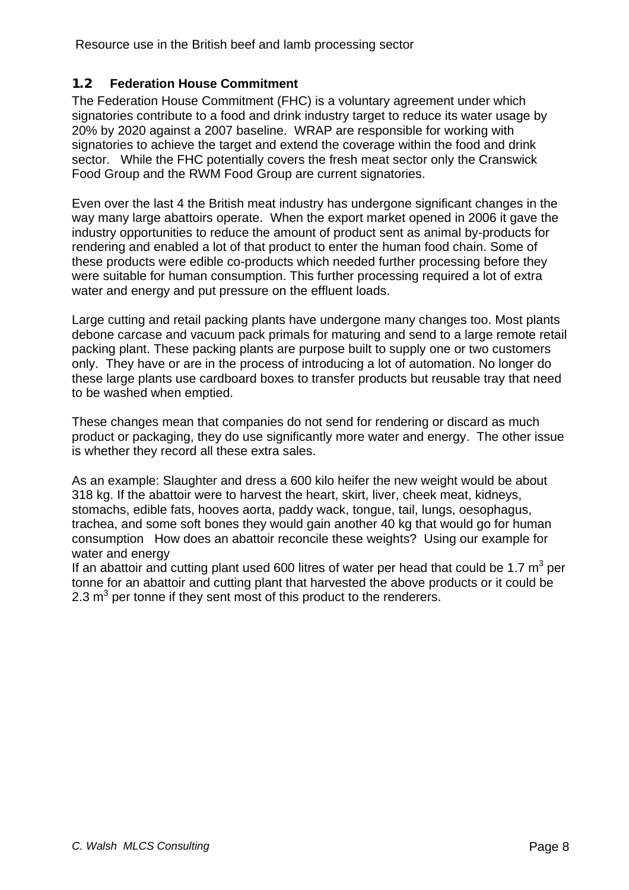## <span id="page-7-0"></span>**1.2 Federation House Commitment**

The Federation House Commitment (FHC) is a voluntary agreement under which signatories contribute to a food and drink industry target to reduce its water usage by 20% by 2020 against a 2007 baseline. WRAP are responsible for working with signatories to achieve the target and extend the coverage within the food and drink sector. While the FHC potentially covers the fresh meat sector only the Cranswick Food Group and the RWM Food Group are current signatories.

Even over the last 4 the British meat industry has undergone significant changes in the way many large abattoirs operate. When the export market opened in 2006 it gave the industry opportunities to reduce the amount of product sent as animal by-products for rendering and enabled a lot of that product to enter the human food chain. Some of these products were edible co-products which needed further processing before they were suitable for human consumption. This further processing required a lot of extra water and energy and put pressure on the effluent loads.

Large cutting and retail packing plants have undergone many changes too. Most plants debone carcase and vacuum pack primals for maturing and send to a large remote retail packing plant. These packing plants are purpose built to supply one or two customers only. They have or are in the process of introducing a lot of automation. No longer do these large plants use cardboard boxes to transfer products but reusable tray that need to be washed when emptied.

These changes mean that companies do not send for rendering or discard as much product or packaging, they do use significantly more water and energy. The other issue is whether they record all these extra sales.

As an example: Slaughter and dress a 600 kilo heifer the new weight would be about 318 kg. If the abattoir were to harvest the heart, skirt, liver, cheek meat, kidneys, stomachs, edible fats, hooves aorta, paddy wack, tongue, tail, lungs, oesophagus, trachea, and some soft bones they would gain another 40 kg that would go for human consumption How does an abattoir reconcile these weights? Using our example for water and energy

If an abattoir and cutting plant used 600 litres of water per head that could be 1.7  $m^3$  per tonne for an abattoir and cutting plant that harvested the above products or it could be 2.3  $\text{m}^3$  per tonne if they sent most of this product to the renderers.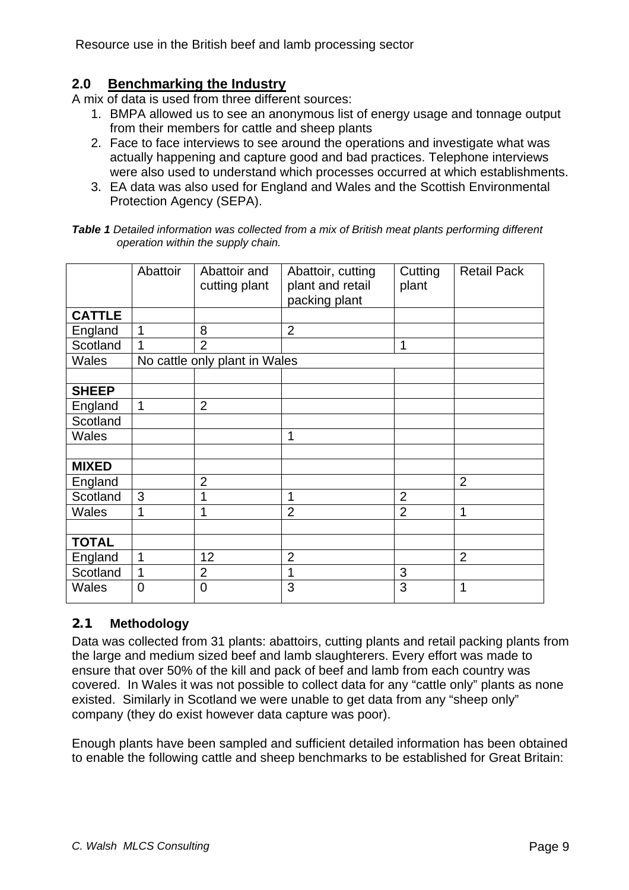# <span id="page-8-0"></span>**2.0 Benchmarking the Industry**

A mix of data is used from three different sources:

- 1. BMPA allowed us to see an anonymous list of energy usage and tonnage output from their members for cattle and sheep plants
- 2. Face to face interviews to see around the operations and investigate what was actually happening and capture good and bad practices. Telephone interviews were also used to understand which processes occurred at which establishments.
- 3. EA data was also used for England and Wales and the Scottish Environmental Protection Agency (SEPA).

| <b>Table 1</b> Detailed information was collected from a mix of British meat plants performing different |  |  |
|----------------------------------------------------------------------------------------------------------|--|--|
| operation within the supply chain.                                                                       |  |  |

|               | Abattoir       | Abattoir and<br>cutting plant | Abattoir, cutting<br>plant and retail<br>packing plant | Cutting<br>plant | <b>Retail Pack</b> |
|---------------|----------------|-------------------------------|--------------------------------------------------------|------------------|--------------------|
| <b>CATTLE</b> |                |                               |                                                        |                  |                    |
| England       | 1              | 8                             | $\overline{2}$                                         |                  |                    |
| Scotland      | 1              | $\overline{2}$                |                                                        | 1                |                    |
| Wales         |                | No cattle only plant in Wales |                                                        |                  |                    |
|               |                |                               |                                                        |                  |                    |
| <b>SHEEP</b>  |                |                               |                                                        |                  |                    |
| England       | 1              | $\overline{2}$                |                                                        |                  |                    |
| Scotland      |                |                               |                                                        |                  |                    |
| Wales         |                |                               | 1                                                      |                  |                    |
|               |                |                               |                                                        |                  |                    |
| <b>MIXED</b>  |                |                               |                                                        |                  |                    |
| England       |                | $\overline{2}$                |                                                        |                  | $\overline{2}$     |
| Scotland      | 3              |                               | 1                                                      | $\overline{2}$   |                    |
| <b>Wales</b>  | 1              | 1                             | $\overline{2}$                                         | $\overline{2}$   | 1                  |
|               |                |                               |                                                        |                  |                    |
| <b>TOTAL</b>  |                |                               |                                                        |                  |                    |
| England       | $\mathbf 1$    | 12                            | $\overline{2}$                                         |                  | $\overline{2}$     |
| Scotland      | 1              | $\overline{2}$                | 1                                                      | 3                |                    |
| <b>Wales</b>  | $\overline{0}$ | $\overline{0}$                | 3                                                      | 3                | 1                  |

# **2.1 Methodology**

Data was collected from 31 plants: abattoirs, cutting plants and retail packing plants from the large and medium sized beef and lamb slaughterers. Every effort was made to ensure that over 50% of the kill and pack of beef and lamb from each country was covered. In Wales it was not possible to collect data for any "cattle only" plants as none existed. Similarly in Scotland we were unable to get data from any "sheep only" company (they do exist however data capture was poor).

Enough plants have been sampled and sufficient detailed information has been obtained to enable the following cattle and sheep benchmarks to be established for Great Britain: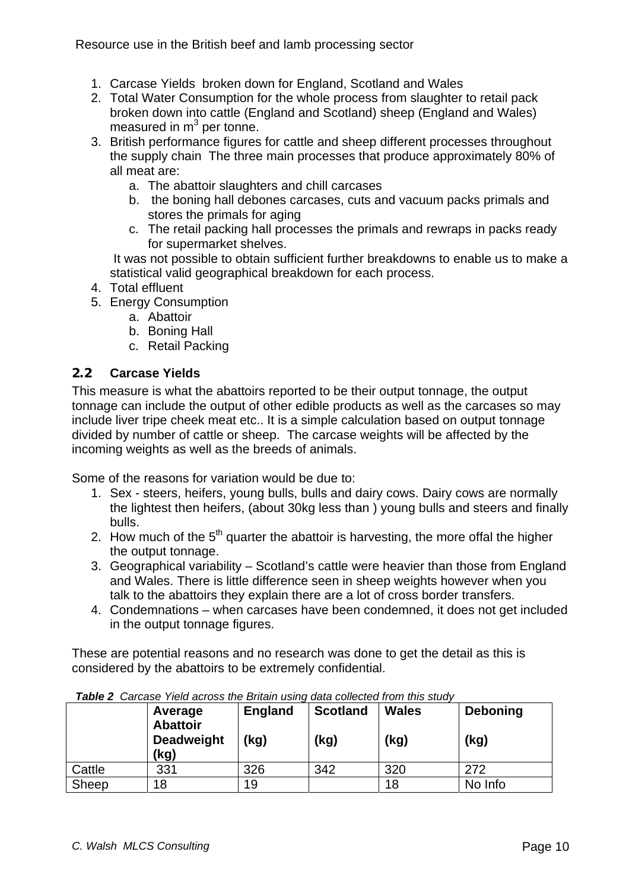- <span id="page-9-0"></span>1. Carcase Yields broken down for England, Scotland and Wales
- 2. Total Water Consumption for the whole process from slaughter to retail pack broken down into cattle (England and Scotland) sheep (England and Wales) measured in  $m^3$  per tonne.
- 3. British performance figures for cattle and sheep different processes throughout the supply chain The three main processes that produce approximately 80% of all meat are:
	- a. The abattoir slaughters and chill carcases
	- b. the boning hall debones carcases, cuts and vacuum packs primals and stores the primals for aging
	- c. The retail packing hall processes the primals and rewraps in packs ready for supermarket shelves.

 It was not possible to obtain sufficient further breakdowns to enable us to make a statistical valid geographical breakdown for each process.

- 4. Total effluent
- 5. Energy Consumption
	- a. Abattoir
	- b. Boning Hall
	- c. Retail Packing

#### **2.2 Carcase Yields**

This measure is what the abattoirs reported to be their output tonnage, the output tonnage can include the output of other edible products as well as the carcases so may include liver tripe cheek meat etc.. It is a simple calculation based on output tonnage divided by number of cattle or sheep. The carcase weights will be affected by the incoming weights as well as the breeds of animals.

Some of the reasons for variation would be due to:

- 1. Sex steers, heifers, young bulls, bulls and dairy cows. Dairy cows are normally the lightest then heifers, (about 30kg less than ) young bulls and steers and finally bulls.
- 2. How much of the  $5<sup>th</sup>$  quarter the abattoir is harvesting, the more offal the higher the output tonnage.
- 3. Geographical variability Scotland's cattle were heavier than those from England and Wales. There is little difference seen in sheep weights however when you talk to the abattoirs they explain there are a lot of cross border transfers.
- 4. Condemnations when carcases have been condemned, it does not get included in the output tonnage figures.

These are potential reasons and no research was done to get the detail as this is considered by the abattoirs to be extremely confidential.

|        | Average<br><b>Abattoir</b><br><b>Deadweight</b><br>(kg) | <b>England</b><br>(kg) | <b>Scotland</b><br>(kg) | <b>Wales</b><br>(kg) | <b>Deboning</b><br>(kg) |
|--------|---------------------------------------------------------|------------------------|-------------------------|----------------------|-------------------------|
| Cattle | 331                                                     | 326                    | 342                     | 320                  | 272                     |
| Sheep  | 18                                                      | 19                     |                         | 18                   | No Info                 |

*Table 2 Carcase Yield across the Britain using data collected from this study*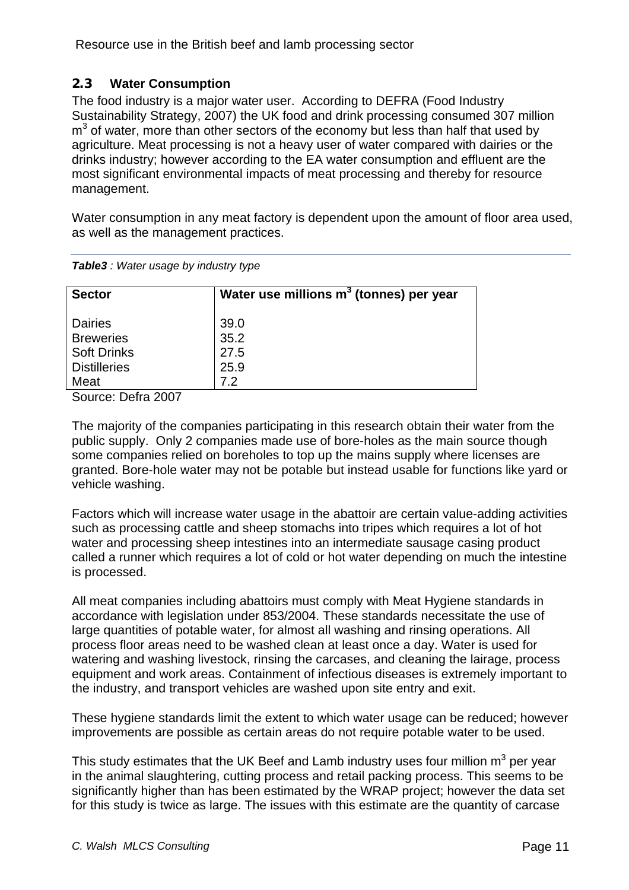# <span id="page-10-0"></span>**2.3 Water Consumption**

The food industry is a major water user. According to DEFRA (Food Industry Sustainability Strategy, 2007) the UK food and drink processing consumed 307 million  $m<sup>3</sup>$  of water, more than other sectors of the economy but less than half that used by agriculture. Meat processing is not a heavy user of water compared with dairies or the drinks industry; however according to the EA water consumption and effluent are the most significant environmental impacts of meat processing and thereby for resource management.

Water consumption in any meat factory is dependent upon the amount of floor area used, as well as the management practices.

| <b>Sector</b>       | Water use millions $m3$ (tonnes) per year |
|---------------------|-------------------------------------------|
|                     |                                           |
| <b>Dairies</b>      | 39.0                                      |
| <b>Breweries</b>    | 35.2                                      |
| <b>Soft Drinks</b>  | 27.5                                      |
| <b>Distilleries</b> | 25.9                                      |
| Meat                | 7.2                                       |

*Table3 : Water usage by industry type* 

Source: Defra 2007

The majority of the companies participating in this research obtain their water from the public supply. Only 2 companies made use of bore-holes as the main source though some companies relied on boreholes to top up the mains supply where licenses are granted. Bore-hole water may not be potable but instead usable for functions like yard or vehicle washing.

Factors which will increase water usage in the abattoir are certain value-adding activities such as processing cattle and sheep stomachs into tripes which requires a lot of hot water and processing sheep intestines into an intermediate sausage casing product called a runner which requires a lot of cold or hot water depending on much the intestine is processed.

All meat companies including abattoirs must comply with Meat Hygiene standards in accordance with legislation under 853/2004. These standards necessitate the use of large quantities of potable water, for almost all washing and rinsing operations. All process floor areas need to be washed clean at least once a day. Water is used for watering and washing livestock, rinsing the carcases, and cleaning the lairage, process equipment and work areas. Containment of infectious diseases is extremely important to the industry, and transport vehicles are washed upon site entry and exit.

These hygiene standards limit the extent to which water usage can be reduced; however improvements are possible as certain areas do not require potable water to be used.

This study estimates that the UK Beef and Lamb industry uses four million  $m^3$  per year in the animal slaughtering, cutting process and retail packing process. This seems to be significantly higher than has been estimated by the WRAP project; however the data set for this study is twice as large. The issues with this estimate are the quantity of carcase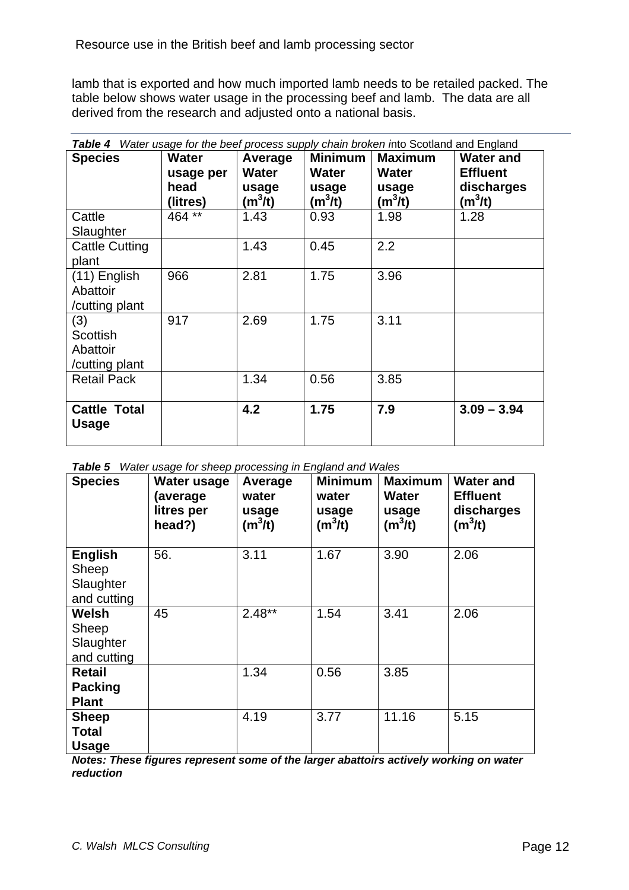lamb that is exported and how much imported lamb needs to be retailed packed. The table below shows water usage in the processing beef and lamb. The data are all derived from the research and adjusted onto a national basis.

| Water usage for the beef process supply chain broken into Scotland and England<br>Table 4 |              |              |                |                |                  |
|-------------------------------------------------------------------------------------------|--------------|--------------|----------------|----------------|------------------|
| <b>Species</b>                                                                            | <b>Water</b> | Average      | <b>Minimum</b> | <b>Maximum</b> | <b>Water and</b> |
|                                                                                           | usage per    | <b>Water</b> | <b>Water</b>   | <b>Water</b>   | <b>Effluent</b>  |
|                                                                                           | head         | usage        | usage          | usage          | discharges       |
|                                                                                           | (litres)     | $(m^3/t)$    | $(m^3/t)$      | $(m^3/t)$      | $(m^3/t)$        |
| Cattle                                                                                    | 464 **       | 1.43         | 0.93           | 1.98           | 1.28             |
| Slaughter                                                                                 |              |              |                |                |                  |
| <b>Cattle Cutting</b>                                                                     |              | 1.43         | 0.45           | 2.2            |                  |
| plant                                                                                     |              |              |                |                |                  |
| (11) English                                                                              | 966          | 2.81         | 1.75           | 3.96           |                  |
| Abattoir                                                                                  |              |              |                |                |                  |
| /cutting plant                                                                            |              |              |                |                |                  |
| (3)                                                                                       | 917          | 2.69         | 1.75           | 3.11           |                  |
| <b>Scottish</b>                                                                           |              |              |                |                |                  |
| Abattoir                                                                                  |              |              |                |                |                  |
| /cutting plant                                                                            |              |              |                |                |                  |
| <b>Retail Pack</b>                                                                        |              | 1.34         | 0.56           | 3.85           |                  |
|                                                                                           |              |              |                |                |                  |
| <b>Cattle Total</b>                                                                       |              | 4.2          | 1.75           | 7.9            | $3.09 - 3.94$    |
| Usage                                                                                     |              |              |                |                |                  |
|                                                                                           |              |              |                |                |                  |

|  | <b>Table 5</b> Water usage for sheep processing in England and Wales |
|--|----------------------------------------------------------------------|
|  |                                                                      |

| <b>Species</b>                                      | Water usage<br>(average<br>litres per<br>head?) | Average<br>water<br>usage<br>$(m^3/t)$ | <b>Minimum</b><br>water<br>usage<br>$(m^3/t)$ | <b>Maximum</b><br>Water<br>usage<br>$(m^3/t)$ | <b>Water and</b><br><b>Effluent</b><br>discharges<br>$(m^3/t)$ |
|-----------------------------------------------------|-------------------------------------------------|----------------------------------------|-----------------------------------------------|-----------------------------------------------|----------------------------------------------------------------|
| <b>English</b><br>Sheep<br>Slaughter<br>and cutting | 56.                                             | 3.11                                   | 1.67                                          | 3.90                                          | 2.06                                                           |
| Welsh<br>Sheep<br>Slaughter<br>and cutting          | 45                                              | $2.48**$                               | 1.54                                          | 3.41                                          | 2.06                                                           |
| Retail<br><b>Packing</b><br><b>Plant</b>            |                                                 | 1.34                                   | 0.56                                          | 3.85                                          |                                                                |
| <b>Sheep</b><br>Total<br><b>Usage</b>               |                                                 | 4.19                                   | 3.77                                          | 11.16                                         | 5.15                                                           |

*Notes: These figures represent some of the larger abattoirs actively working on water reduction*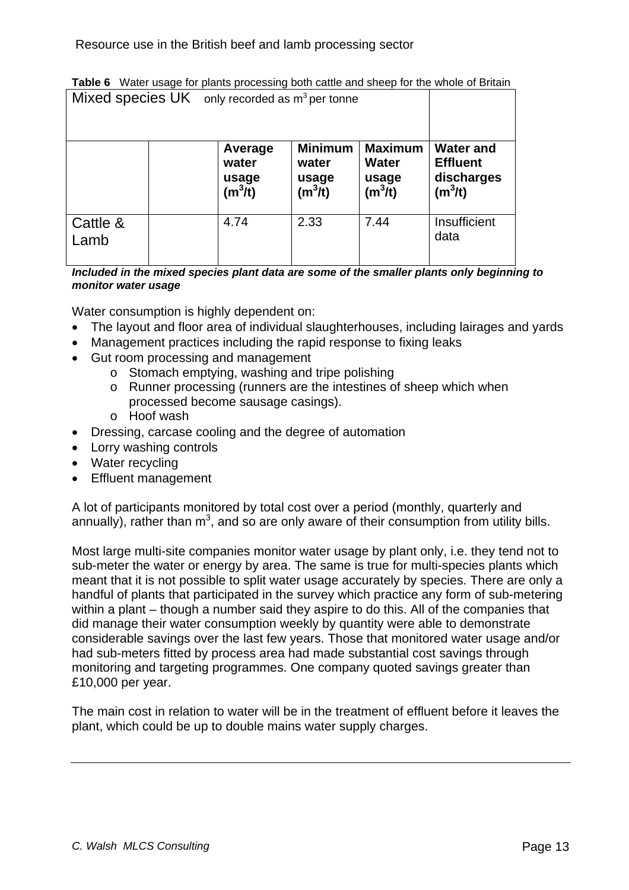| Mixed species $UK$ only recorded as $m^3$ per tonne |  |                                        |                                               |                                                      |                                                                |
|-----------------------------------------------------|--|----------------------------------------|-----------------------------------------------|------------------------------------------------------|----------------------------------------------------------------|
|                                                     |  | Average<br>water<br>usage<br>$(m^3/t)$ | <b>Minimum</b><br>water<br>usage<br>$(m^3/t)$ | <b>Maximum</b><br><b>Water</b><br>usage<br>$(m^3/t)$ | <b>Water and</b><br><b>Effluent</b><br>discharges<br>$(m^3/t)$ |
| Cattle &<br>Lamb                                    |  | 4.74                                   | 2.33                                          | 7.44                                                 | Insufficient<br>data                                           |

|       | Table 6 Water usage for plants processing both cattle and sheep for the whole of Britain |  |
|-------|------------------------------------------------------------------------------------------|--|
| - - - |                                                                                          |  |

*Included in the mixed species plant data are some of the smaller plants only beginning to monitor water usage* 

Water consumption is highly dependent on:

- The layout and floor area of individual slaughterhouses, including lairages and yards
- Management practices including the rapid response to fixing leaks
- Gut room processing and management
	- o Stomach emptying, washing and tripe polishing
	- o Runner processing (runners are the intestines of sheep which when processed become sausage casings).
	- o Hoof wash
- Dressing, carcase cooling and the degree of automation
- Lorry washing controls
- Water recycling
- Effluent management

A lot of participants monitored by total cost over a period (monthly, quarterly and annually), rather than  $m^3$ , and so are only aware of their consumption from utility bills.

Most large multi-site companies monitor water usage by plant only, i.e. they tend not to sub-meter the water or energy by area. The same is true for multi-species plants which meant that it is not possible to split water usage accurately by species. There are only a handful of plants that participated in the survey which practice any form of sub-metering within a plant – though a number said they aspire to do this. All of the companies that did manage their water consumption weekly by quantity were able to demonstrate considerable savings over the last few years. Those that monitored water usage and/or had sub-meters fitted by process area had made substantial cost savings through monitoring and targeting programmes. One company quoted savings greater than £10,000 per year.

The main cost in relation to water will be in the treatment of effluent before it leaves the plant, which could be up to double mains water supply charges.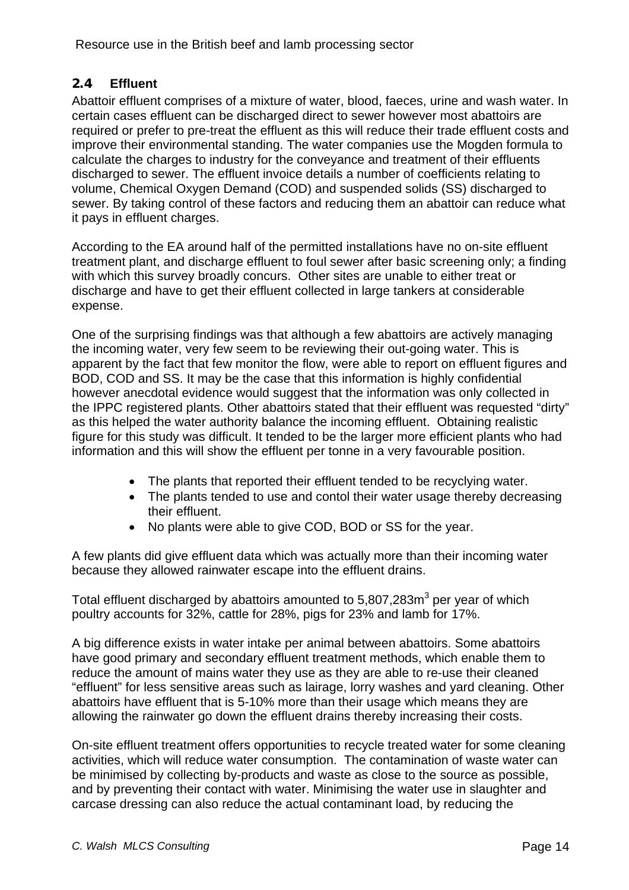# <span id="page-13-0"></span>**2.4 Effluent**

Abattoir effluent comprises of a mixture of water, blood, faeces, urine and wash water. In certain cases effluent can be discharged direct to sewer however most abattoirs are required or prefer to pre-treat the effluent as this will reduce their trade effluent costs and improve their environmental standing. The water companies use the Mogden formula to calculate the charges to industry for the conveyance and treatment of their effluents discharged to sewer. The effluent invoice details a number of coefficients relating to volume, Chemical Oxygen Demand (COD) and suspended solids (SS) discharged to sewer. By taking control of these factors and reducing them an abattoir can reduce what it pays in effluent charges.

According to the EA around half of the permitted installations have no on-site effluent treatment plant, and discharge effluent to foul sewer after basic screening only; a finding with which this survey broadly concurs. Other sites are unable to either treat or discharge and have to get their effluent collected in large tankers at considerable expense.

One of the surprising findings was that although a few abattoirs are actively managing the incoming water, very few seem to be reviewing their out-going water. This is apparent by the fact that few monitor the flow, were able to report on effluent figures and BOD, COD and SS. It may be the case that this information is highly confidential however anecdotal evidence would suggest that the information was only collected in the IPPC registered plants. Other abattoirs stated that their effluent was requested "dirty" as this helped the water authority balance the incoming effluent. Obtaining realistic figure for this study was difficult. It tended to be the larger more efficient plants who had information and this will show the effluent per tonne in a very favourable position.

- The plants that reported their effluent tended to be recyclying water.
- The plants tended to use and contol their water usage thereby decreasing their effluent.
- No plants were able to give COD, BOD or SS for the year.

A few plants did give effluent data which was actually more than their incoming water because they allowed rainwater escape into the effluent drains.

Total effluent discharged by abattoirs amounted to 5,807,283 $m<sup>3</sup>$  per year of which poultry accounts for 32%, cattle for 28%, pigs for 23% and lamb for 17%.

A big difference exists in water intake per animal between abattoirs. Some abattoirs have good primary and secondary effluent treatment methods, which enable them to reduce the amount of mains water they use as they are able to re-use their cleaned "effluent" for less sensitive areas such as lairage, lorry washes and yard cleaning. Other abattoirs have effluent that is 5-10% more than their usage which means they are allowing the rainwater go down the effluent drains thereby increasing their costs.

On-site effluent treatment offers opportunities to recycle treated water for some cleaning activities, which will reduce water consumption. The contamination of waste water can be minimised by collecting by-products and waste as close to the source as possible, and by preventing their contact with water. Minimising the water use in slaughter and carcase dressing can also reduce the actual contaminant load, by reducing the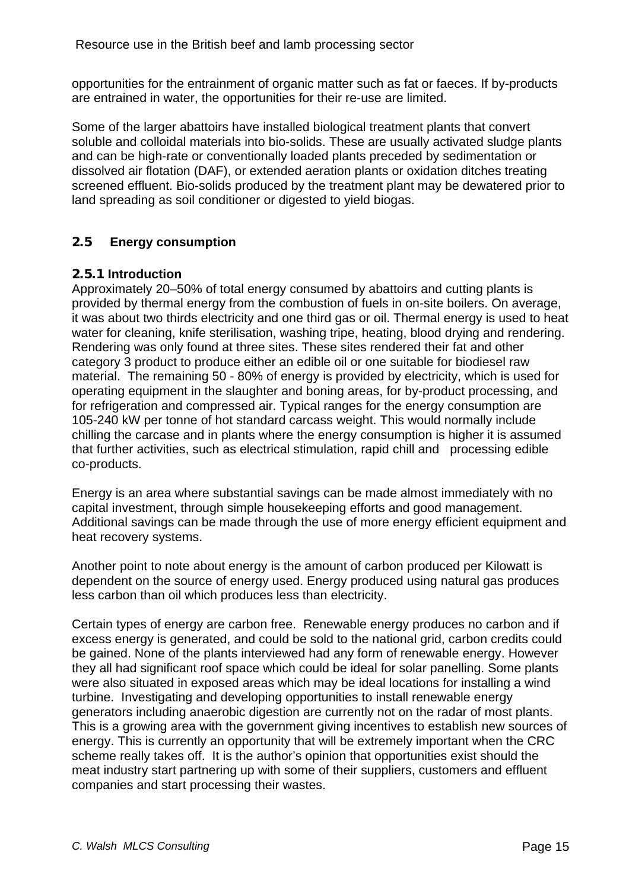<span id="page-14-0"></span>opportunities for the entrainment of organic matter such as fat or faeces. If by-products are entrained in water, the opportunities for their re-use are limited.

Some of the larger abattoirs have installed biological treatment plants that convert soluble and colloidal materials into bio-solids. These are usually activated sludge plants and can be high-rate or conventionally loaded plants preceded by sedimentation or dissolved air flotation (DAF), or extended aeration plants or oxidation ditches treating screened effluent. Bio-solids produced by the treatment plant may be dewatered prior to land spreading as soil conditioner or digested to yield biogas.

# **2.5 Energy consumption**

### **2.5.1 Introduction**

Approximately 20–50% of total energy consumed by abattoirs and cutting plants is provided by thermal energy from the combustion of fuels in on-site boilers. On average, it was about two thirds electricity and one third gas or oil. Thermal energy is used to heat water for cleaning, knife sterilisation, washing tripe, heating, blood drying and rendering. Rendering was only found at three sites. These sites rendered their fat and other category 3 product to produce either an edible oil or one suitable for biodiesel raw material. The remaining 50 - 80% of energy is provided by electricity, which is used for operating equipment in the slaughter and boning areas, for by-product processing, and for refrigeration and compressed air. Typical ranges for the energy consumption are 105-240 kW per tonne of hot standard carcass weight. This would normally include chilling the carcase and in plants where the energy consumption is higher it is assumed that further activities, such as electrical stimulation, rapid chill and processing edible co-products.

Energy is an area where substantial savings can be made almost immediately with no capital investment, through simple housekeeping efforts and good management. Additional savings can be made through the use of more energy efficient equipment and heat recovery systems.

Another point to note about energy is the amount of carbon produced per Kilowatt is dependent on the source of energy used. Energy produced using natural gas produces less carbon than oil which produces less than electricity.

Certain types of energy are carbon free. Renewable energy produces no carbon and if excess energy is generated, and could be sold to the national grid, carbon credits could be gained. None of the plants interviewed had any form of renewable energy. However they all had significant roof space which could be ideal for solar panelling. Some plants were also situated in exposed areas which may be ideal locations for installing a wind turbine. Investigating and developing opportunities to install renewable energy generators including anaerobic digestion are currently not on the radar of most plants. This is a growing area with the government giving incentives to establish new sources of energy. This is currently an opportunity that will be extremely important when the CRC scheme really takes off. It is the author's opinion that opportunities exist should the meat industry start partnering up with some of their suppliers, customers and effluent companies and start processing their wastes.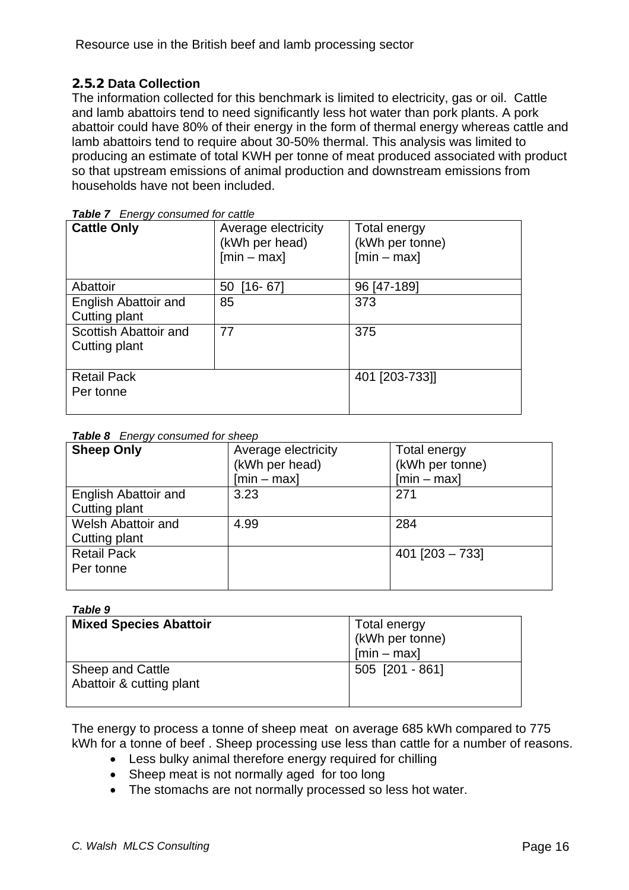# <span id="page-15-0"></span>**2.5.2 Data Collection**

The information collected for this benchmark is limited to electricity, gas or oil. Cattle and lamb abattoirs tend to need significantly less hot water than pork plants. A pork abattoir could have 80% of their energy in the form of thermal energy whereas cattle and lamb abattoirs tend to require about 30-50% thermal. This analysis was limited to producing an estimate of total KWH per tonne of meat produced associated with product so that upstream emissions of animal production and downstream emissions from households have not been included.

| <b>Cattle Only</b>                     | Average electricity<br>(kWh per head)<br>$[min - max]$ | Total energy<br>(kWh per tonne)<br>$[min - max]$ |
|----------------------------------------|--------------------------------------------------------|--------------------------------------------------|
| Abattoir                               | $[16 - 67]$<br>50                                      | 96 [47-189]                                      |
| English Abattoir and<br>Cutting plant  | 85                                                     | 373                                              |
| Scottish Abattoir and<br>Cutting plant | 77                                                     | 375                                              |
| <b>Retail Pack</b><br>Per tonne        |                                                        | 401 [203-733]]                                   |

*Table 7 Energy consumed for cattle* 

|  | Table 8 Energy consumed for sheep |  |
|--|-----------------------------------|--|
|  |                                   |  |

| <b>Sheep Only</b>         | Average electricity | Total energy      |
|---------------------------|---------------------|-------------------|
|                           | (kWh per head)      | (kWh per tonne)   |
|                           | $[min - max]$       | $[min - max]$     |
| English Abattoir and      | 3.23                | 271               |
| Cutting plant             |                     |                   |
| <b>Welsh Abattoir and</b> | 4.99                | 284               |
| Cutting plant             |                     |                   |
| <b>Retail Pack</b>        |                     | $401$ [203 - 733] |
| Per tonne                 |                     |                   |
|                           |                     |                   |

#### *Table 9*

| <b>Mixed Species Abattoir</b>                | Total energy<br>(kWh per tonne)<br>$[min - max]$ |
|----------------------------------------------|--------------------------------------------------|
| Sheep and Cattle<br>Abattoir & cutting plant | 505 [201 - 861]                                  |

The energy to process a tonne of sheep meat on average 685 kWh compared to 775 kWh for a tonne of beef . Sheep processing use less than cattle for a number of reasons.

- Less bulky animal therefore energy required for chilling
- Sheep meat is not normally aged for too long
- The stomachs are not normally processed so less hot water.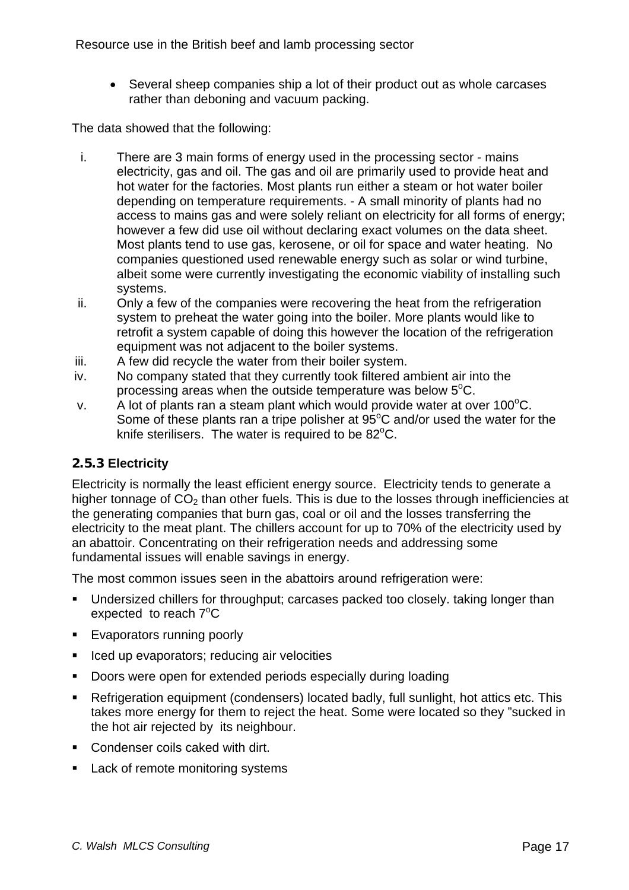<span id="page-16-0"></span>• Several sheep companies ship a lot of their product out as whole carcases rather than deboning and vacuum packing.

The data showed that the following:

- i. There are 3 main forms of energy used in the processing sector mains electricity, gas and oil. The gas and oil are primarily used to provide heat and hot water for the factories. Most plants run either a steam or hot water boiler depending on temperature requirements. - A small minority of plants had no access to mains gas and were solely reliant on electricity for all forms of energy; however a few did use oil without declaring exact volumes on the data sheet. Most plants tend to use gas, kerosene, or oil for space and water heating. No companies questioned used renewable energy such as solar or wind turbine, albeit some were currently investigating the economic viability of installing such systems.
- ii. Only a few of the companies were recovering the heat from the refrigeration system to preheat the water going into the boiler. More plants would like to retrofit a system capable of doing this however the location of the refrigeration equipment was not adjacent to the boiler systems.
- iii. A few did recycle the water from their boiler system.
- iv. No company stated that they currently took filtered ambient air into the processing areas when the outside temperature was below  $5^{\circ}$ C.
- v. A lot of plants ran a steam plant which would provide water at over 100 $\mathrm{^{\circ}C}$ . Some of these plants ran a tripe polisher at  $95^{\circ}$ C and/or used the water for the knife sterilisers. The water is required to be  $82^{\circ}$ C.

#### **2.5.3 Electricity**

Electricity is normally the least efficient energy source. Electricity tends to generate a higher tonnage of  $CO<sub>2</sub>$  than other fuels. This is due to the losses through inefficiencies at the generating companies that burn gas, coal or oil and the losses transferring the electricity to the meat plant. The chillers account for up to 70% of the electricity used by an abattoir. Concentrating on their refrigeration needs and addressing some fundamental issues will enable savings in energy.

The most common issues seen in the abattoirs around refrigeration were:

- Undersized chillers for throughput; carcases packed too closely. taking longer than expected to reach  $7^{\circ}$ C
- **Evaporators running poorly**
- Iced up evaporators; reducing air velocities
- Doors were open for extended periods especially during loading
- Refrigeration equipment (condensers) located badly, full sunlight, hot attics etc. This takes more energy for them to reject the heat. Some were located so they "sucked in the hot air rejected by its neighbour.
- **Condenser coils caked with dirt.**
- Lack of remote monitoring systems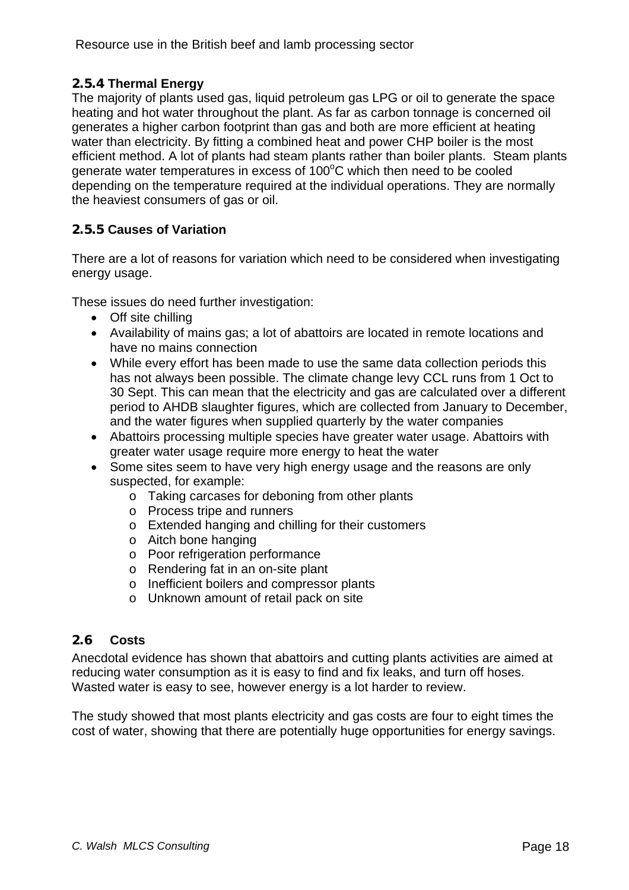# <span id="page-17-0"></span>**2.5.4 Thermal Energy**

The majority of plants used gas, liquid petroleum gas LPG or oil to generate the space heating and hot water throughout the plant. As far as carbon tonnage is concerned oil generates a higher carbon footprint than gas and both are more efficient at heating water than electricity. By fitting a combined heat and power CHP boiler is the most efficient method. A lot of plants had steam plants rather than boiler plants. Steam plants generate water temperatures in excess of  $100^{\circ}$ C which then need to be cooled depending on the temperature required at the individual operations. They are normally the heaviest consumers of gas or oil.

# **2.5.5 Causes of Variation**

There are a lot of reasons for variation which need to be considered when investigating energy usage.

These issues do need further investigation:

- Off site chilling
- Availability of mains gas; a lot of abattoirs are located in remote locations and have no mains connection
- While every effort has been made to use the same data collection periods this has not always been possible. The climate change levy CCL runs from 1 Oct to 30 Sept. This can mean that the electricity and gas are calculated over a different period to AHDB slaughter figures, which are collected from January to December, and the water figures when supplied quarterly by the water companies
- Abattoirs processing multiple species have greater water usage. Abattoirs with greater water usage require more energy to heat the water
- Some sites seem to have very high energy usage and the reasons are only suspected, for example:
	- o Taking carcases for deboning from other plants
	- o Process tripe and runners
	- o Extended hanging and chilling for their customers
	- o Aitch bone hanging
	- o Poor refrigeration performance
	- o Rendering fat in an on-site plant
	- o Inefficient boilers and compressor plants
	- o Unknown amount of retail pack on site

#### **2.6 Costs**

Anecdotal evidence has shown that abattoirs and cutting plants activities are aimed at reducing water consumption as it is easy to find and fix leaks, and turn off hoses. Wasted water is easy to see, however energy is a lot harder to review.

The study showed that most plants electricity and gas costs are four to eight times the cost of water, showing that there are potentially huge opportunities for energy savings.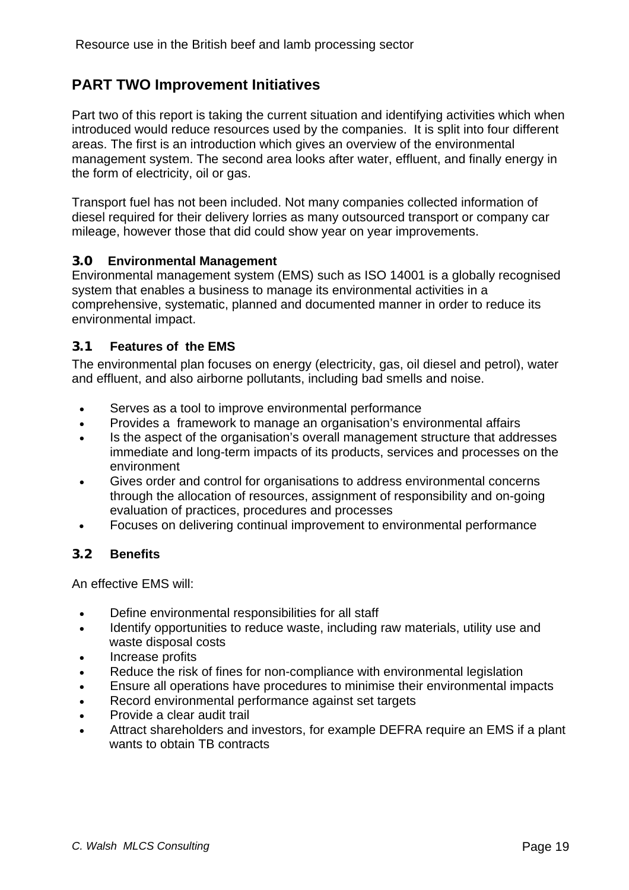# <span id="page-18-0"></span>**PART TWO Improvement Initiatives**

Part two of this report is taking the current situation and identifying activities which when introduced would reduce resources used by the companies. It is split into four different areas. The first is an introduction which gives an overview of the environmental management system. The second area looks after water, effluent, and finally energy in the form of electricity, oil or gas.

Transport fuel has not been included. Not many companies collected information of diesel required for their delivery lorries as many outsourced transport or company car mileage, however those that did could show year on year improvements.

#### **3.0 Environmental Management**

Environmental management system (EMS) such as ISO 14001 is a globally recognised system that enables a business to manage its environmental activities in a comprehensive, systematic, planned and documented manner in order to reduce its environmental impact.

# **3.1 Features of the EMS**

The environmental plan focuses on energy (electricity, gas, oil diesel and petrol), water and effluent, and also airborne pollutants, including bad smells and noise.

- Serves as a tool to improve environmental performance
- Provides a framework to manage an organisation's environmental affairs
- Is the aspect of the organisation's overall management structure that addresses immediate and long-term impacts of its products, services and processes on the environment
- Gives order and control for organisations to address environmental concerns through the allocation of resources, assignment of responsibility and on-going evaluation of practices, procedures and processes
- Focuses on delivering continual improvement to environmental performance

#### **3.2 Benefits**

An effective EMS will:

- Define environmental responsibilities for all staff
- Identify opportunities to reduce waste, including raw materials, utility use and waste disposal costs
- Increase profits
- Reduce the risk of fines for non-compliance with environmental legislation
- Ensure all operations have procedures to minimise their environmental impacts
- Record environmental performance against set targets
- Provide a clear audit trail
- Attract shareholders and investors, for example DEFRA require an EMS if a plant wants to obtain TB contracts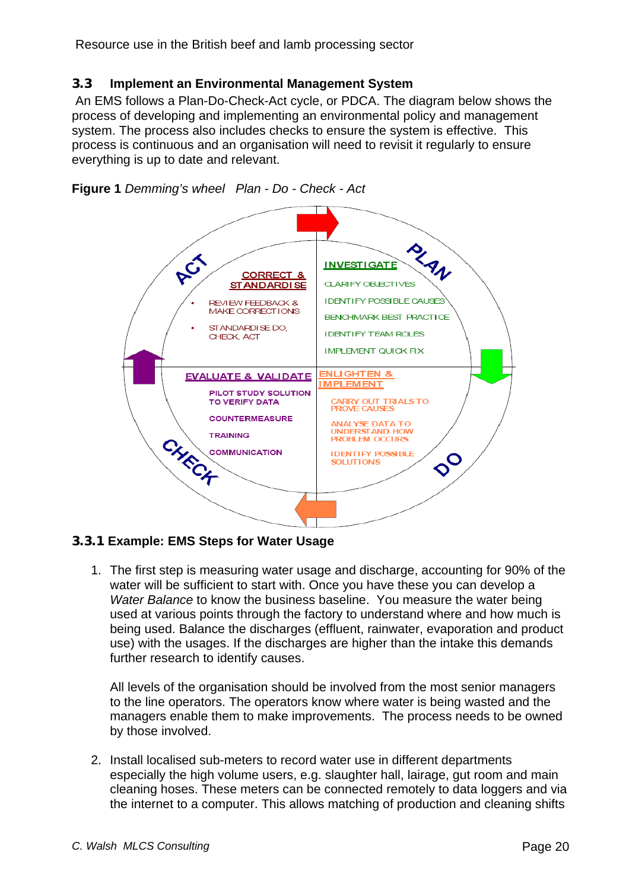# <span id="page-19-0"></span>**3.3 Implement an Environmental Management System**

 An EMS follows a Plan-Do-Check-Act cycle, or PDCA. The diagram below shows the process of developing and implementing an environmental policy and management system. The process also includes checks to ensure the system is effective. This process is continuous and an organisation will need to revisit it regularly to ensure everything is up to date and relevant.





# **3.3.1 Example: EMS Steps for Water Usage**

1. The first step is measuring water usage and discharge, accounting for 90% of the water will be sufficient to start with. Once you have these you can develop a *Water Balance* to know the business baseline. You measure the water being used at various points through the factory to understand where and how much is being used. Balance the discharges (effluent, rainwater, evaporation and product use) with the usages. If the discharges are higher than the intake this demands further research to identify causes.

All levels of the organisation should be involved from the most senior managers to the line operators. The operators know where water is being wasted and the managers enable them to make improvements. The process needs to be owned by those involved.

2. Install localised sub-meters to record water use in different departments especially the high volume users, e.g. slaughter hall, lairage, gut room and main cleaning hoses. These meters can be connected remotely to data loggers and via the internet to a computer. This allows matching of production and cleaning shifts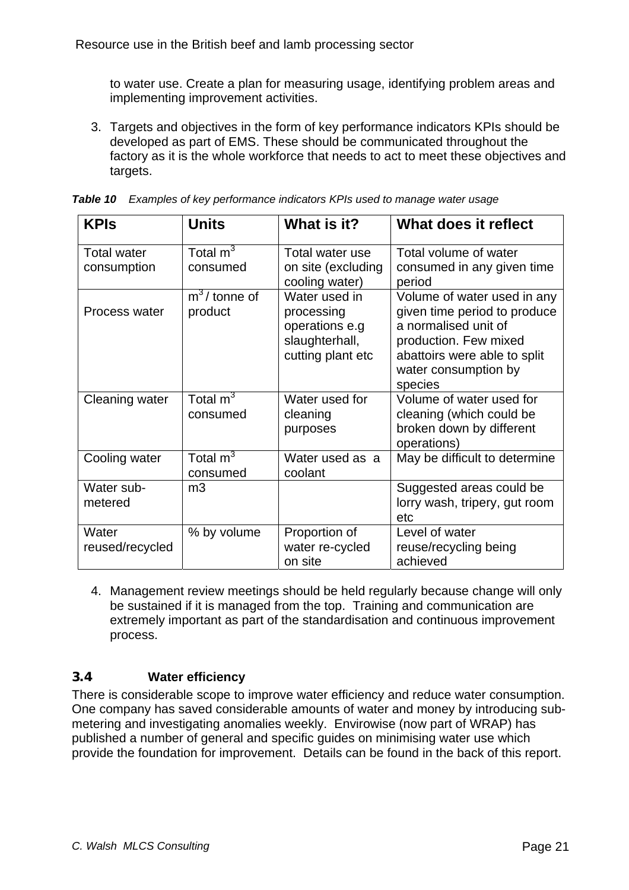<span id="page-20-0"></span>to water use. Create a plan for measuring usage, identifying problem areas and implementing improvement activities.

3. Targets and objectives in the form of key performance indicators KPIs should be developed as part of EMS. These should be communicated throughout the factory as it is the whole workforce that needs to act to meet these objectives and targets.

| <b>KPIs</b>                       | <b>Units</b>                       | What is it?                                                                          | What does it reflect                                                                                                                                                            |
|-----------------------------------|------------------------------------|--------------------------------------------------------------------------------------|---------------------------------------------------------------------------------------------------------------------------------------------------------------------------------|
| <b>Total water</b><br>consumption | Total $m3$<br>consumed             | Total water use<br>on site (excluding<br>cooling water)                              | Total volume of water<br>consumed in any given time<br>period                                                                                                                   |
| Process water                     | $m^3$ / tonne of<br>product        | Water used in<br>processing<br>operations e.g<br>slaughterhall,<br>cutting plant etc | Volume of water used in any<br>given time period to produce<br>a normalised unit of<br>production. Few mixed<br>abattoirs were able to split<br>water consumption by<br>species |
| Cleaning water                    | Total $m3$<br>consumed             | Water used for<br>cleaning<br>purposes                                               | Volume of water used for<br>cleaning (which could be<br>broken down by different<br>operations)                                                                                 |
| Cooling water                     | Total $\overline{m}^3$<br>consumed | Water used as a<br>coolant                                                           | May be difficult to determine                                                                                                                                                   |
| Water sub-<br>metered             | m <sub>3</sub>                     |                                                                                      | Suggested areas could be<br>lorry wash, tripery, gut room<br>etc                                                                                                                |
| Water<br>reused/recycled          | % by volume                        | Proportion of<br>water re-cycled<br>on site                                          | Level of water<br>reuse/recycling being<br>achieved                                                                                                                             |

| <b>Table 10</b> Examples of key performance indicators KPIs used to manage water usage |  |  |  |
|----------------------------------------------------------------------------------------|--|--|--|

4. Management review meetings should be held regularly because change will only be sustained if it is managed from the top. Training and communication are extremely important as part of the standardisation and continuous improvement process.

# **3.4 Water efficiency**

There is considerable scope to improve water efficiency and reduce water consumption. One company has saved considerable amounts of water and money by introducing submetering and investigating anomalies weekly. Envirowise (now part of WRAP) has published a number of general and specific guides on minimising water use which provide the foundation for improvement. Details can be found in the back of this report.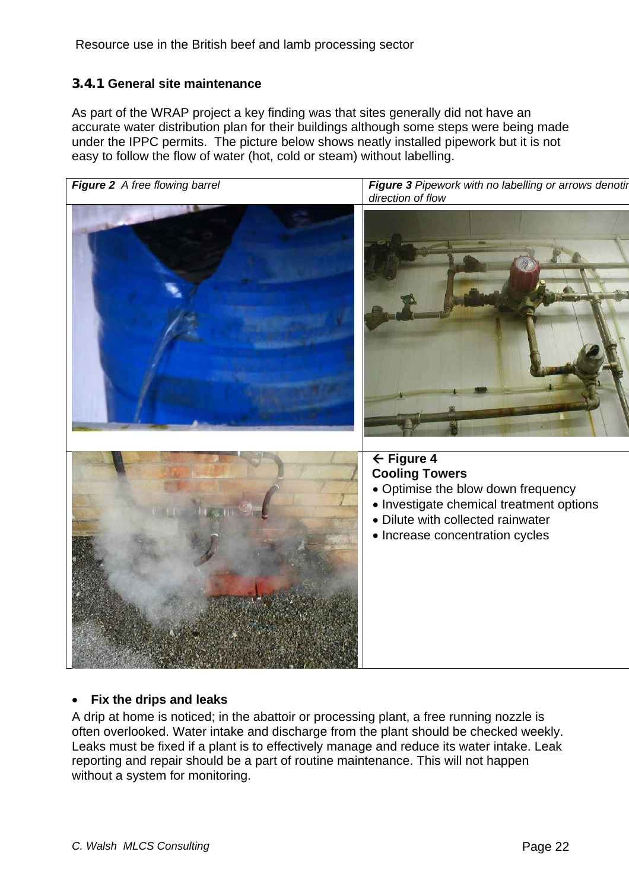### <span id="page-21-0"></span>**3.4.1 General site maintenance**

As part of the WRAP project a key finding was that sites generally did not have an accurate water distribution plan for their buildings although some steps were being made under the IPPC permits. The picture below shows neatly installed pipework but it is not easy to follow the flow of water (hot, cold or steam) without labelling.



#### • **Fix the drips and leaks**

A drip at home is noticed; in the abattoir or processing plant, a free running nozzle is often overlooked. Water intake and discharge from the plant should be checked weekly. Leaks must be fixed if a plant is to effectively manage and reduce its water intake. Leak reporting and repair should be a part of routine maintenance. This will not happen without a system for monitoring.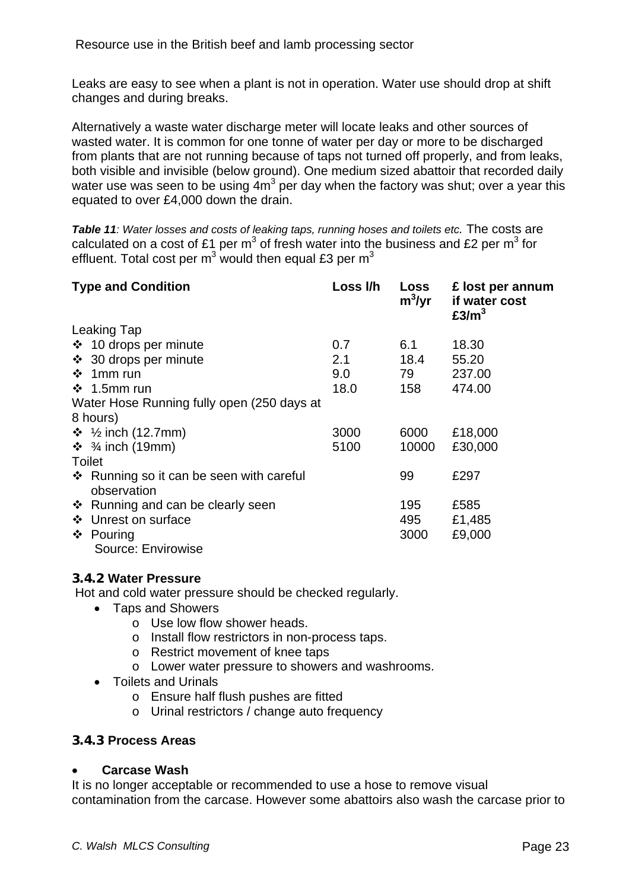<span id="page-22-0"></span>Leaks are easy to see when a plant is not in operation. Water use should drop at shift changes and during breaks.

Alternatively a waste water discharge meter will locate leaks and other sources of wasted water. It is common for one tonne of water per day or more to be discharged from plants that are not running because of taps not turned off properly, and from leaks, both visible and invisible (below ground). One medium sized abattoir that recorded daily water use was seen to be using  $4m^3$  per day when the factory was shut; over a year this equated to over £4,000 down the drain.

**Table 11***:* Water losses and costs of leaking taps, running hoses and toilets etc. The costs are calculated on a cost of £1 per m<sup>3</sup> of fresh water into the business and £2 per m<sup>3</sup> for effluent. Total cost per m<sup>3</sup> would then equal £3 per m<sup>3</sup>

| <b>Type and Condition</b>                               | Loss I/h | Loss<br>$m^3$ /yr | £ lost per annum<br>if water cost<br>£3/m <sup>3</sup> |
|---------------------------------------------------------|----------|-------------------|--------------------------------------------------------|
| <b>Leaking Tap</b>                                      |          |                   |                                                        |
| $\div$ 10 drops per minute                              | 0.7      | 6.1               | 18.30                                                  |
| ❖ 30 drops per minute                                   | 2.1      | 18.4              | 55.20                                                  |
| $\div$ 1 mm run                                         | 9.0      | 79                | 237.00                                                 |
| $\div$ 1.5mm run                                        | 18.0     | 158               | 474.00                                                 |
| Water Hose Running fully open (250 days at              |          |                   |                                                        |
| 8 hours)                                                |          |                   |                                                        |
| ❖ ½ inch (12.7mm)                                       | 3000     | 6000              | £18,000                                                |
| $\div$ 3/4 inch (19mm)                                  | 5100     | 10000             | £30,000                                                |
| Toilet                                                  |          |                   |                                                        |
| ❖ Running so it can be seen with careful<br>observation |          | 99                | £297                                                   |
| ❖ Running and can be clearly seen                       |          | 195               | £585                                                   |
| ❖ Unrest on surface                                     |          | 495               | £1,485                                                 |
| ❖ Pouring                                               |          | 3000              | £9,000                                                 |
| Source: Envirowise                                      |          |                   |                                                        |

#### **3.4.2 Water Pressure**

Hot and cold water pressure should be checked regularly.

- Taps and Showers
	- o Use low flow shower heads.
	- o Install flow restrictors in non-process taps.
	- o Restrict movement of knee taps
	- o Lower water pressure to showers and washrooms.
- Toilets and Urinals
	- o Ensure half flush pushes are fitted
	- o Urinal restrictors / change auto frequency

#### **3.4.3 Process Areas**

#### • **Carcase Wash**

It is no longer acceptable or recommended to use a hose to remove visual contamination from the carcase. However some abattoirs also wash the carcase prior to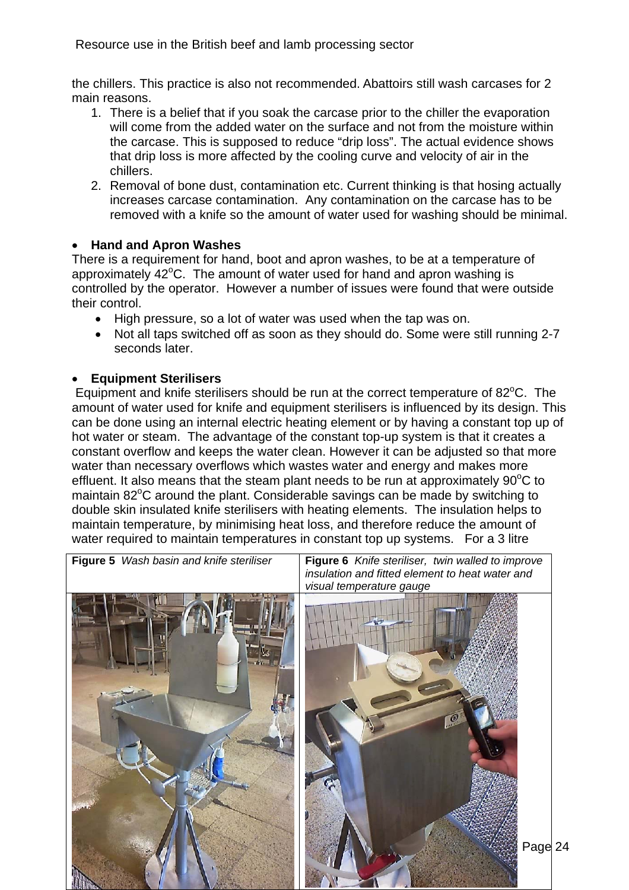<span id="page-23-0"></span>the chillers. This practice is also not recommended. Abattoirs still wash carcases for 2 main reasons.

- 1. There is a belief that if you soak the carcase prior to the chiller the evaporation will come from the added water on the surface and not from the moisture within the carcase. This is supposed to reduce "drip loss". The actual evidence shows that drip loss is more affected by the cooling curve and velocity of air in the chillers.
- 2. Removal of bone dust, contamination etc. Current thinking is that hosing actually increases carcase contamination. Any contamination on the carcase has to be removed with a knife so the amount of water used for washing should be minimal.

# • **Hand and Apron Washes**

There is a requirement for hand, boot and apron washes, to be at a temperature of approximately 42°C. The amount of water used for hand and apron washing is controlled by the operator. However a number of issues were found that were outside their control.

- High pressure, so a lot of water was used when the tap was on.
- Not all taps switched off as soon as they should do. Some were still running 2-7 seconds later.

# • **Equipment Sterilisers**

Equipment and knife sterilisers should be run at the correct temperature of 82°C. The amount of water used for knife and equipment sterilisers is influenced by its design. This can be done using an internal electric heating element or by having a constant top up of hot water or steam. The advantage of the constant top-up system is that it creates a constant overflow and keeps the water clean. However it can be adjusted so that more water than necessary overflows which wastes water and energy and makes more effluent. It also means that the steam plant needs to be run at approximately  $90^{\circ}$ C to maintain 82°C around the plant. Considerable savings can be made by switching to double skin insulated knife sterilisers with heating elements. The insulation helps to maintain temperature, by minimising heat loss, and therefore reduce the amount of water required to maintain temperatures in constant top up systems. For a 3 litre

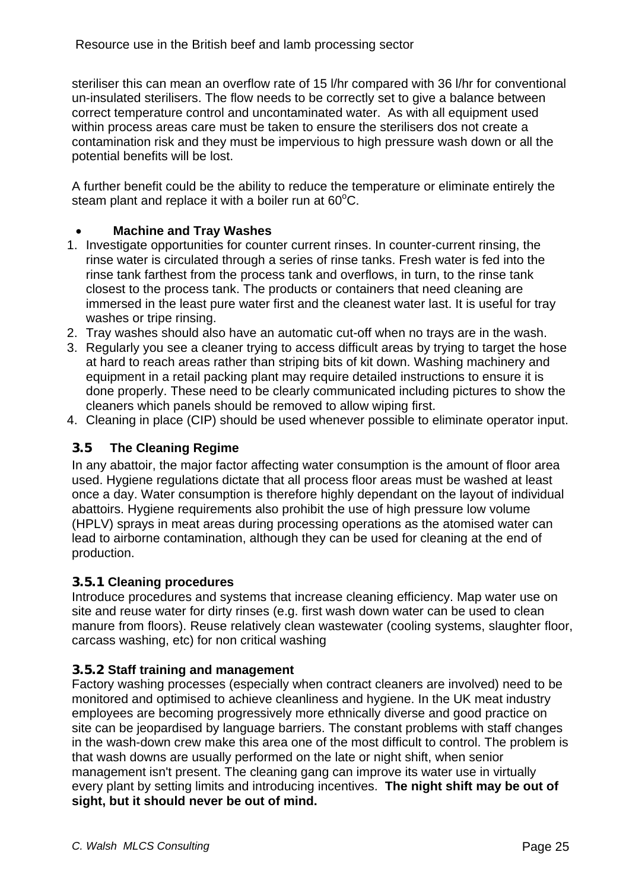<span id="page-24-0"></span>steriliser this can mean an overflow rate of 15 l/hr compared with 36 l/hr for conventional un-insulated sterilisers. The flow needs to be correctly set to give a balance between correct temperature control and uncontaminated water. As with all equipment used within process areas care must be taken to ensure the sterilisers dos not create a contamination risk and they must be impervious to high pressure wash down or all the potential benefits will be lost.

A further benefit could be the ability to reduce the temperature or eliminate entirely the steam plant and replace it with a boiler run at  $60^{\circ}$ C.

### • **Machine and Tray Washes**

- 1. Investigate opportunities for counter current rinses. In counter-current rinsing, the rinse water is circulated through a series of rinse tanks. Fresh water is fed into the rinse tank farthest from the process tank and overflows, in turn, to the rinse tank closest to the process tank. The products or containers that need cleaning are immersed in the least pure water first and the cleanest water last. It is useful for tray washes or tripe rinsing.
- 2. Tray washes should also have an automatic cut-off when no trays are in the wash.
- 3. Regularly you see a cleaner trying to access difficult areas by trying to target the hose at hard to reach areas rather than striping bits of kit down. Washing machinery and equipment in a retail packing plant may require detailed instructions to ensure it is done properly. These need to be clearly communicated including pictures to show the cleaners which panels should be removed to allow wiping first.
- 4. Cleaning in place (CIP) should be used whenever possible to eliminate operator input.

## **3.5 The Cleaning Regime**

In any abattoir, the major factor affecting water consumption is the amount of floor area used. Hygiene regulations dictate that all process floor areas must be washed at least once a day. Water consumption is therefore highly dependant on the layout of individual abattoirs. Hygiene requirements also prohibit the use of high pressure low volume (HPLV) sprays in meat areas during processing operations as the atomised water can lead to airborne contamination, although they can be used for cleaning at the end of production.

#### **3.5.1 Cleaning procedures**

Introduce procedures and systems that increase cleaning efficiency. Map water use on site and reuse water for dirty rinses (e.g. first wash down water can be used to clean manure from floors). Reuse relatively clean wastewater (cooling systems, slaughter floor, carcass washing, etc) for non critical washing

#### **3.5.2 Staff training and management**

Factory washing processes (especially when contract cleaners are involved) need to be monitored and optimised to achieve cleanliness and hygiene. In the UK meat industry employees are becoming progressively more ethnically diverse and good practice on site can be jeopardised by language barriers. The constant problems with staff changes in the wash-down crew make this area one of the most difficult to control. The problem is that wash downs are usually performed on the late or night shift, when senior management isn't present. The cleaning gang can improve its water use in virtually every plant by setting limits and introducing incentives. **The night shift may be out of sight, but it should never be out of mind.**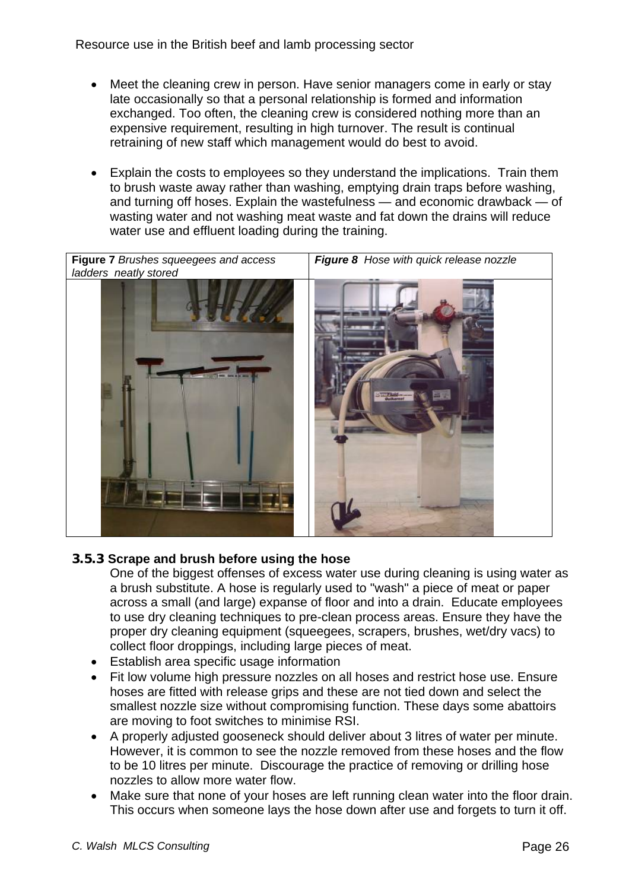- <span id="page-25-0"></span>Meet the cleaning crew in person. Have senior managers come in early or stay late occasionally so that a personal relationship is formed and information exchanged. Too often, the cleaning crew is considered nothing more than an expensive requirement, resulting in high turnover. The result is continual retraining of new staff which management would do best to avoid.
- Explain the costs to employees so they understand the implications. Train them to brush waste away rather than washing, emptying drain traps before washing, and turning off hoses. Explain the wastefulness — and economic drawback — of wasting water and not washing meat waste and fat down the drains will reduce water use and effluent loading during the training.



# **3.5.3 Scrape and brush before using the hose**

One of the biggest offenses of excess water use during cleaning is using water as a brush substitute. A hose is regularly used to "wash" a piece of meat or paper across a small (and large) expanse of floor and into a drain. Educate employees to use dry cleaning techniques to pre-clean process areas. Ensure they have the proper dry cleaning equipment (squeegees, scrapers, brushes, wet/dry vacs) to collect floor droppings, including large pieces of meat.

- Establish area specific usage information
- Fit low volume high pressure nozzles on all hoses and restrict hose use. Ensure hoses are fitted with release grips and these are not tied down and select the smallest nozzle size without compromising function. These days some abattoirs are moving to foot switches to minimise RSI.
- A properly adjusted gooseneck should deliver about 3 litres of water per minute. However, it is common to see the nozzle removed from these hoses and the flow to be 10 litres per minute. Discourage the practice of removing or drilling hose nozzles to allow more water flow.
- Make sure that none of your hoses are left running clean water into the floor drain. This occurs when someone lays the hose down after use and forgets to turn it off.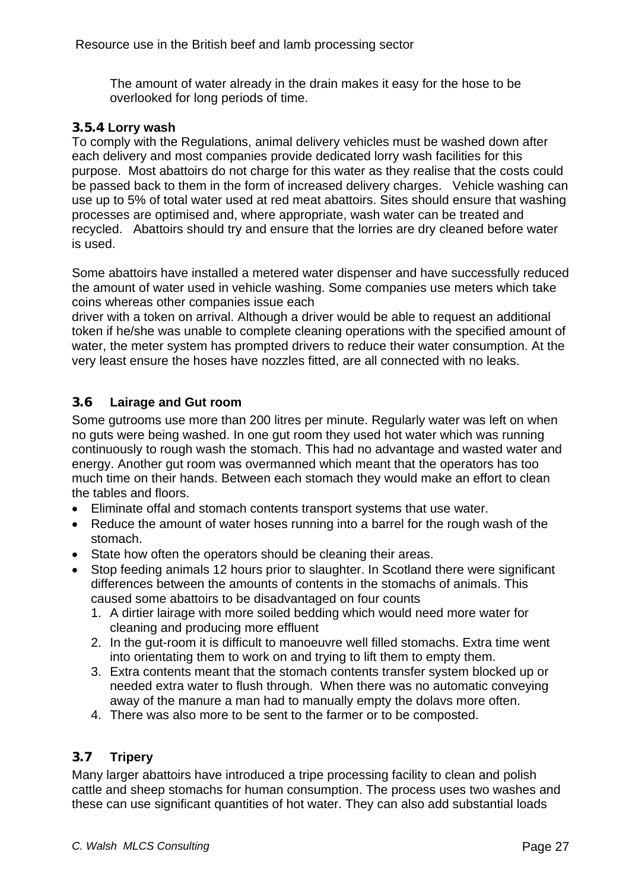<span id="page-26-0"></span>The amount of water already in the drain makes it easy for the hose to be overlooked for long periods of time.

#### **3.5.4 Lorry wash**

To comply with the Regulations, animal delivery vehicles must be washed down after each delivery and most companies provide dedicated lorry wash facilities for this purpose. Most abattoirs do not charge for this water as they realise that the costs could be passed back to them in the form of increased delivery charges. Vehicle washing can use up to 5% of total water used at red meat abattoirs. Sites should ensure that washing processes are optimised and, where appropriate, wash water can be treated and recycled. Abattoirs should try and ensure that the lorries are dry cleaned before water is used.

Some abattoirs have installed a metered water dispenser and have successfully reduced the amount of water used in vehicle washing. Some companies use meters which take coins whereas other companies issue each

driver with a token on arrival. Although a driver would be able to request an additional token if he/she was unable to complete cleaning operations with the specified amount of water, the meter system has prompted drivers to reduce their water consumption. At the very least ensure the hoses have nozzles fitted, are all connected with no leaks.

# **3.6 Lairage and Gut room**

Some gutrooms use more than 200 litres per minute. Regularly water was left on when no guts were being washed. In one gut room they used hot water which was running continuously to rough wash the stomach. This had no advantage and wasted water and energy. Another gut room was overmanned which meant that the operators has too much time on their hands. Between each stomach they would make an effort to clean the tables and floors.

- Eliminate offal and stomach contents transport systems that use water.
- Reduce the amount of water hoses running into a barrel for the rough wash of the stomach.
- State how often the operators should be cleaning their areas.
- Stop feeding animals 12 hours prior to slaughter. In Scotland there were significant differences between the amounts of contents in the stomachs of animals. This caused some abattoirs to be disadvantaged on four counts
	- 1. A dirtier lairage with more soiled bedding which would need more water for cleaning and producing more effluent
	- 2. In the gut-room it is difficult to manoeuvre well filled stomachs. Extra time went into orientating them to work on and trying to lift them to empty them.
	- 3. Extra contents meant that the stomach contents transfer system blocked up or needed extra water to flush through. When there was no automatic conveying away of the manure a man had to manually empty the dolavs more often.
	- 4. There was also more to be sent to the farmer or to be composted.

# **3.7 Tripery**

Many larger abattoirs have introduced a tripe processing facility to clean and polish cattle and sheep stomachs for human consumption. The process uses two washes and these can use significant quantities of hot water. They can also add substantial loads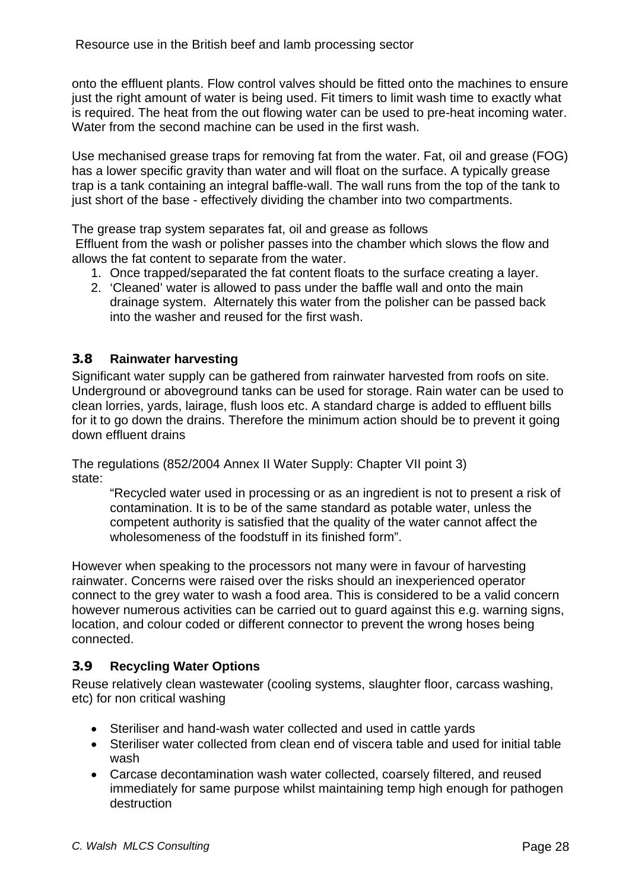<span id="page-27-0"></span>onto the effluent plants. Flow control valves should be fitted onto the machines to ensure just the right amount of water is being used. Fit timers to limit wash time to exactly what is required. The heat from the out flowing water can be used to pre-heat incoming water. Water from the second machine can be used in the first wash.

Use mechanised grease traps for removing fat from the water. Fat, oil and grease (FOG) has a lower specific gravity than water and will float on the surface. A typically grease trap is a tank containing an integral baffle-wall. The wall runs from the top of the tank to just short of the base - effectively dividing the chamber into two compartments.

The grease trap system separates fat, oil and grease as follows

 Effluent from the wash or polisher passes into the chamber which slows the flow and allows the fat content to separate from the water.

- 1. Once trapped/separated the fat content floats to the surface creating a layer.
- 2. 'Cleaned' water is allowed to pass under the baffle wall and onto the main drainage system. Alternately this water from the polisher can be passed back into the washer and reused for the first wash.

#### **3.8 Rainwater harvesting**

Significant water supply can be gathered from rainwater harvested from roofs on site. Underground or aboveground tanks can be used for storage. Rain water can be used to clean lorries, yards, lairage, flush loos etc. A standard charge is added to effluent bills for it to go down the drains. Therefore the minimum action should be to prevent it going down effluent drains

The regulations (852/2004 Annex II Water Supply: Chapter VII point 3) state:

"Recycled water used in processing or as an ingredient is not to present a risk of contamination. It is to be of the same standard as potable water, unless the competent authority is satisfied that the quality of the water cannot affect the wholesomeness of the foodstuff in its finished form".

However when speaking to the processors not many were in favour of harvesting rainwater. Concerns were raised over the risks should an inexperienced operator connect to the grey water to wash a food area. This is considered to be a valid concern however numerous activities can be carried out to guard against this e.g. warning signs, location, and colour coded or different connector to prevent the wrong hoses being connected.

#### **3.9 Recycling Water Options**

Reuse relatively clean wastewater (cooling systems, slaughter floor, carcass washing, etc) for non critical washing

- Steriliser and hand-wash water collected and used in cattle yards
- Steriliser water collected from clean end of viscera table and used for initial table wash
- Carcase decontamination wash water collected, coarsely filtered, and reused immediately for same purpose whilst maintaining temp high enough for pathogen destruction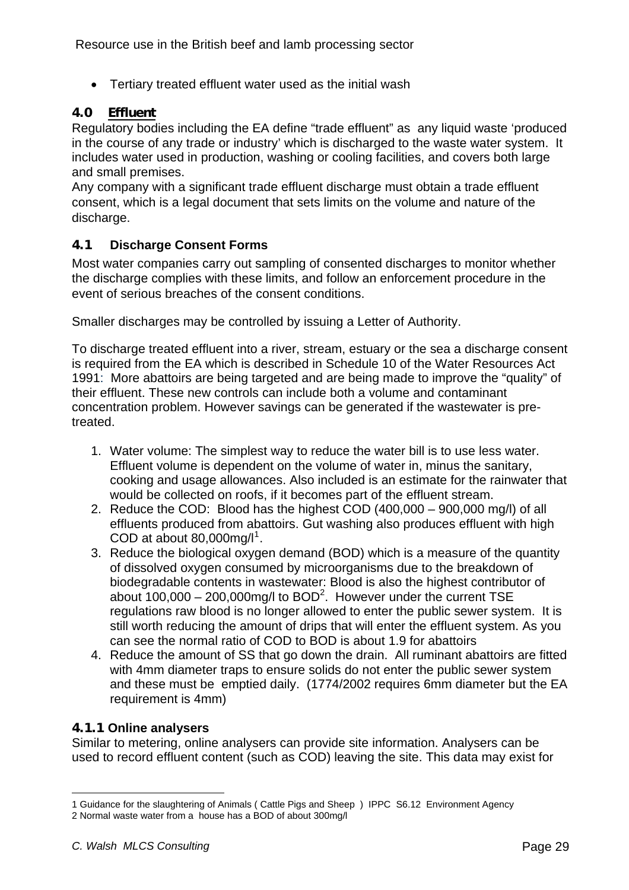<span id="page-28-0"></span>• Tertiary treated effluent water used as the initial wash

## **4.0 Effluent**

Regulatory bodies including the EA define "trade effluent" as any liquid waste 'produced in the course of any trade or industry' which is discharged to the waste water system. It includes water used in production, washing or cooling facilities, and covers both large and small premises.

Any company with a significant trade effluent discharge must obtain a trade effluent consent, which is a legal document that sets limits on the volume and nature of the discharge.

### **4.1 Discharge Consent Forms**

Most water companies carry out sampling of consented discharges to monitor whether the discharge complies with these limits, and follow an enforcement procedure in the event of serious breaches of the consent conditions.

Smaller discharges may be controlled by issuing a Letter of Authority.

To discharge treated effluent into a river, stream, estuary or the sea a discharge consent is required from the EA which is described in Schedule 10 of the Water Resources Act 1991: More abattoirs are being targeted and are being made to improve the "quality" of their effluent. These new controls can include both a volume and contaminant concentration problem. However savings can be generated if the wastewater is pretreated.

- 1. Water volume: The simplest way to reduce the water bill is to use less water. Effluent volume is dependent on the volume of water in, minus the sanitary, cooking and usage allowances. Also included is an estimate for the rainwater that would be collected on roofs, if it becomes part of the effluent stream.
- 2. Reduce the COD: Blood has the highest COD (400,000 900,000 mg/l) of all effluents produced from abattoirs. Gut washing also produces effluent with high COD at about  $80,000$ mg/l<sup>[1](#page-28-1)</sup>.
- 3. Reduce the biological oxygen demand (BOD) which is a measure of the quantity of dissolved oxygen consumed by microorganisms due to the breakdown of biodegradable contents in wastewater: Blood is also the highest contributor of about  $100,000 - 200,000$  mg/l to BOD<sup>2</sup>. However under the current TSE regulations raw blood is no longer allowed to enter the public sewer system. It is still worth reducing the amount of drips that will enter the effluent system. As you can see the normal ratio of COD to BOD is about 1.9 for abattoirs
- 4. Reduce the amount of SS that go down the drain. All ruminant abattoirs are fitted with 4mm diameter traps to ensure solids do not enter the public sewer system and these must be emptied daily. (1774/2002 requires 6mm diameter but the EA requirement is 4mm)

# **4.1.1 Online analysers**

Similar to metering, online analysers can provide site information. Analysers can be used to record effluent content (such as COD) leaving the site. This data may exist for

<span id="page-28-1"></span>l 1 Guidance for the slaughtering of Animals ( Cattle Pigs and Sheep ) IPPC S6.12 Environment Agency 2 Normal waste water from a house has a BOD of about 300mg/l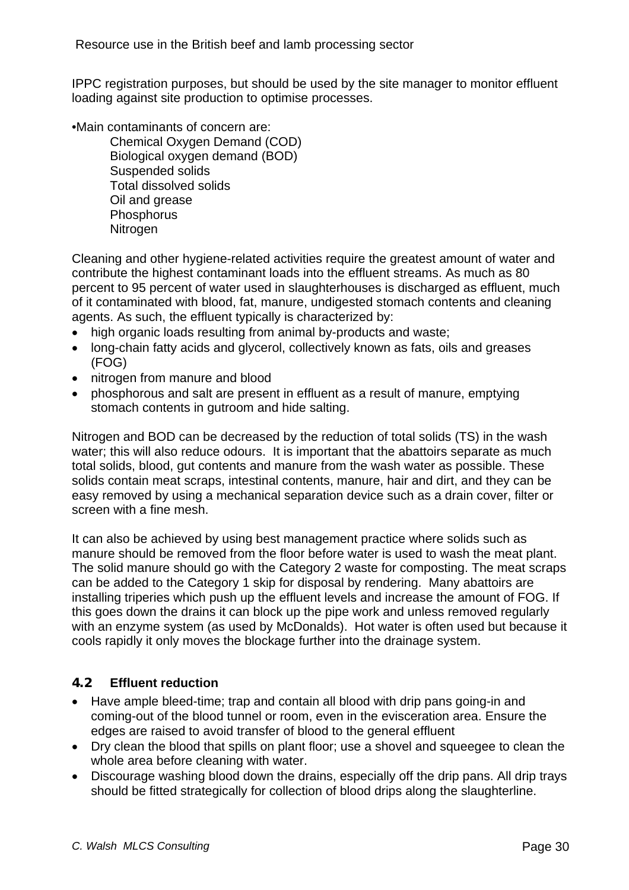<span id="page-29-0"></span>IPPC registration purposes, but should be used by the site manager to monitor effluent loading against site production to optimise processes.

•Main contaminants of concern are:

Chemical Oxygen Demand (COD) Biological oxygen demand (BOD) Suspended solids Total dissolved solids Oil and grease **Phosphorus Nitrogen** 

Cleaning and other hygiene-related activities require the greatest amount of water and contribute the highest contaminant loads into the effluent streams. As much as 80 percent to 95 percent of water used in slaughterhouses is discharged as effluent, much of it contaminated with blood, fat, manure, undigested stomach contents and cleaning agents. As such, the effluent typically is characterized by:

- high organic loads resulting from animal by-products and waste;
- long-chain fatty acids and glycerol, collectively known as fats, oils and greases (FOG)
- nitrogen from manure and blood
- phosphorous and salt are present in effluent as a result of manure, emptying stomach contents in gutroom and hide salting.

Nitrogen and BOD can be decreased by the reduction of total solids (TS) in the wash water; this will also reduce odours. It is important that the abattoirs separate as much total solids, blood, gut contents and manure from the wash water as possible. These solids contain meat scraps, intestinal contents, manure, hair and dirt, and they can be easy removed by using a mechanical separation device such as a drain cover, filter or screen with a fine mesh.

It can also be achieved by using best management practice where solids such as manure should be removed from the floor before water is used to wash the meat plant. The solid manure should go with the Category 2 waste for composting. The meat scraps can be added to the Category 1 skip for disposal by rendering. Many abattoirs are installing triperies which push up the effluent levels and increase the amount of FOG. If this goes down the drains it can block up the pipe work and unless removed regularly with an enzyme system (as used by McDonalds). Hot water is often used but because it cools rapidly it only moves the blockage further into the drainage system.

# **4.2 Effluent reduction**

- Have ample bleed-time; trap and contain all blood with drip pans going-in and coming-out of the blood tunnel or room, even in the evisceration area. Ensure the edges are raised to avoid transfer of blood to the general effluent
- Dry clean the blood that spills on plant floor; use a shovel and squeegee to clean the whole area before cleaning with water.
- Discourage washing blood down the drains, especially off the drip pans. All drip trays should be fitted strategically for collection of blood drips along the slaughterline.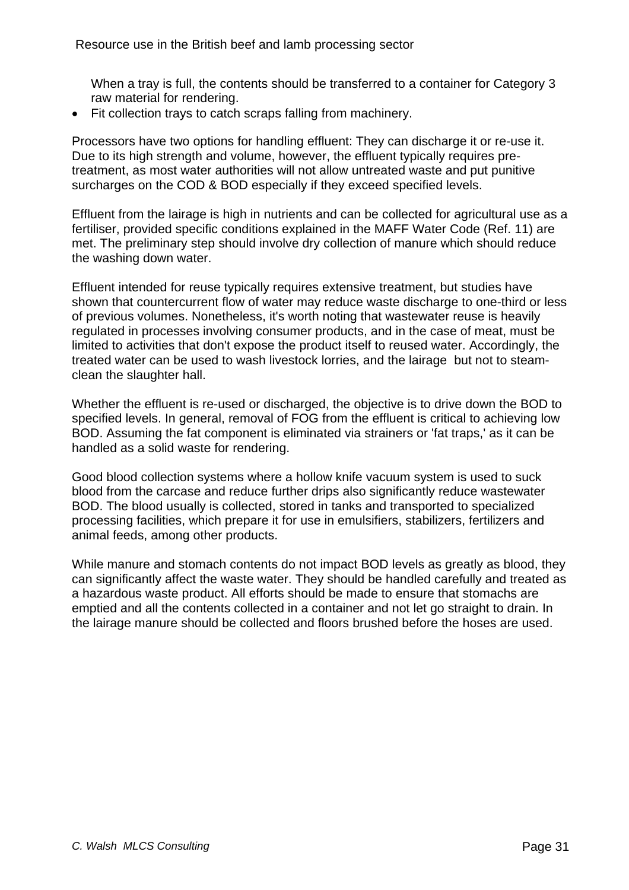When a tray is full, the contents should be transferred to a container for Category 3 raw material for rendering.

• Fit collection trays to catch scraps falling from machinery.

Processors have two options for handling effluent: They can discharge it or re-use it. Due to its high strength and volume, however, the effluent typically requires pretreatment, as most water authorities will not allow untreated waste and put punitive surcharges on the COD & BOD especially if they exceed specified levels.

Effluent from the lairage is high in nutrients and can be collected for agricultural use as a fertiliser, provided specific conditions explained in the MAFF Water Code (Ref. 11) are met. The preliminary step should involve dry collection of manure which should reduce the washing down water.

Effluent intended for reuse typically requires extensive treatment, but studies have shown that countercurrent flow of water may reduce waste discharge to one-third or less of previous volumes. Nonetheless, it's worth noting that wastewater reuse is heavily regulated in processes involving consumer products, and in the case of meat, must be limited to activities that don't expose the product itself to reused water. Accordingly, the treated water can be used to wash livestock lorries, and the lairage but not to steamclean the slaughter hall.

Whether the effluent is re-used or discharged, the objective is to drive down the BOD to specified levels. In general, removal of FOG from the effluent is critical to achieving low BOD. Assuming the fat component is eliminated via strainers or 'fat traps,' as it can be handled as a solid waste for rendering.

Good blood collection systems where a hollow knife vacuum system is used to suck blood from the carcase and reduce further drips also significantly reduce wastewater BOD. The blood usually is collected, stored in tanks and transported to specialized processing facilities, which prepare it for use in emulsifiers, stabilizers, fertilizers and animal feeds, among other products.

While manure and stomach contents do not impact BOD levels as greatly as blood, they can significantly affect the waste water. They should be handled carefully and treated as a hazardous waste product. All efforts should be made to ensure that stomachs are emptied and all the contents collected in a container and not let go straight to drain. In the lairage manure should be collected and floors brushed before the hoses are used.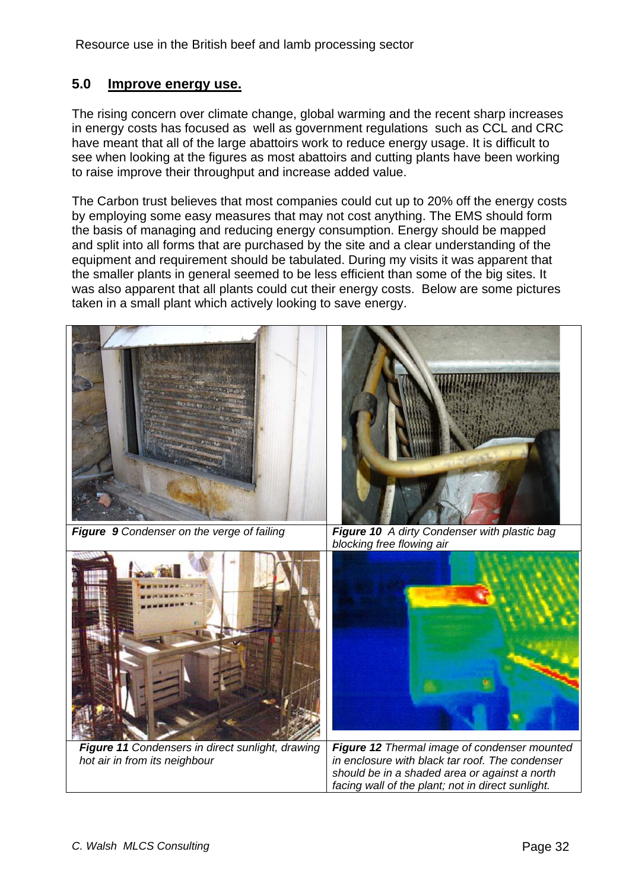# <span id="page-31-0"></span>**5.0 Improve energy use.**

The rising concern over climate change, global warming and the recent sharp increases in energy costs has focused as well as government regulations such as CCL and CRC have meant that all of the large abattoirs work to reduce energy usage. It is difficult to see when looking at the figures as most abattoirs and cutting plants have been working to raise improve their throughput and increase added value.

The Carbon trust believes that most companies could cut up to 20% off the energy costs by employing some easy measures that may not cost anything. The EMS should form the basis of managing and reducing energy consumption. Energy should be mapped and split into all forms that are purchased by the site and a clear understanding of the equipment and requirement should be tabulated. During my visits it was apparent that the smaller plants in general seemed to be less efficient than some of the big sites. It was also apparent that all plants could cut their energy costs. Below are some pictures taken in a small plant which actively looking to save energy.



*Figure 11 Condensers in direct sunlight, drawing hot air in from its neighbour* 

*Figure 12 Thermal image of condenser mounted in enclosure with black tar roof. The condenser should be in a shaded area or against a north facing wall of the plant; not in direct sunlight.*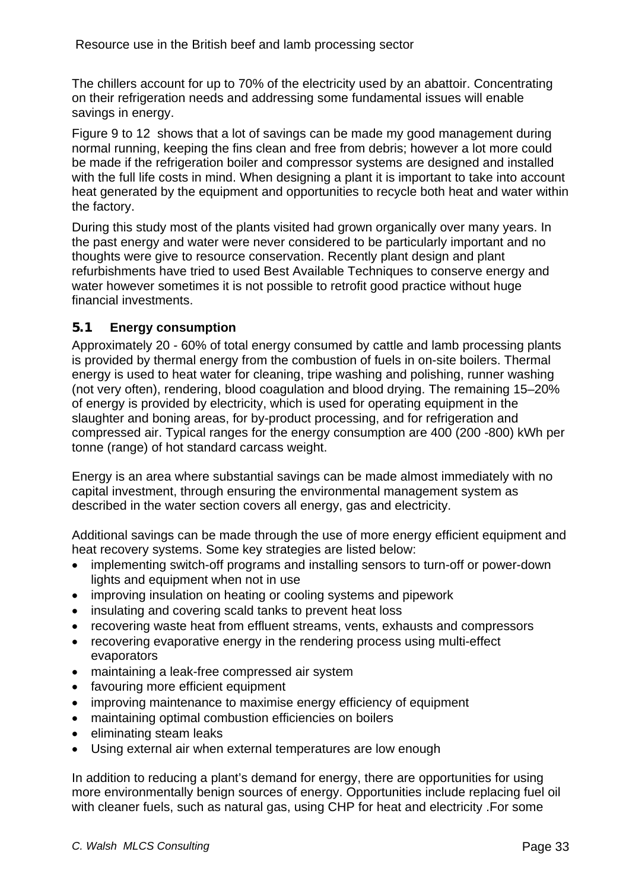<span id="page-32-0"></span>The chillers account for up to 70% of the electricity used by an abattoir. Concentrating on their refrigeration needs and addressing some fundamental issues will enable savings in energy.

Figure 9 to 12 shows that a lot of savings can be made my good management during normal running, keeping the fins clean and free from debris; however a lot more could be made if the refrigeration boiler and compressor systems are designed and installed with the full life costs in mind. When designing a plant it is important to take into account heat generated by the equipment and opportunities to recycle both heat and water within the factory.

During this study most of the plants visited had grown organically over many years. In the past energy and water were never considered to be particularly important and no thoughts were give to resource conservation. Recently plant design and plant refurbishments have tried to used Best Available Techniques to conserve energy and water however sometimes it is not possible to retrofit good practice without huge financial investments.

# **5.1 Energy consumption**

Approximately 20 - 60% of total energy consumed by cattle and lamb processing plants is provided by thermal energy from the combustion of fuels in on-site boilers. Thermal energy is used to heat water for cleaning, tripe washing and polishing, runner washing (not very often), rendering, blood coagulation and blood drying. The remaining 15–20% of energy is provided by electricity, which is used for operating equipment in the slaughter and boning areas, for by-product processing, and for refrigeration and compressed air. Typical ranges for the energy consumption are 400 (200 -800) kWh per tonne (range) of hot standard carcass weight.

Energy is an area where substantial savings can be made almost immediately with no capital investment, through ensuring the environmental management system as described in the water section covers all energy, gas and electricity.

Additional savings can be made through the use of more energy efficient equipment and heat recovery systems. Some key strategies are listed below:

- implementing switch-off programs and installing sensors to turn-off or power-down lights and equipment when not in use
- improving insulation on heating or cooling systems and pipework
- insulating and covering scald tanks to prevent heat loss
- recovering waste heat from effluent streams, vents, exhausts and compressors
- recovering evaporative energy in the rendering process using multi-effect evaporators
- maintaining a leak-free compressed air system
- favouring more efficient equipment
- improving maintenance to maximise energy efficiency of equipment
- maintaining optimal combustion efficiencies on boilers
- eliminating steam leaks
- Using external air when external temperatures are low enough

In addition to reducing a plant's demand for energy, there are opportunities for using more environmentally benign sources of energy. Opportunities include replacing fuel oil with cleaner fuels, such as natural gas, using CHP for heat and electricity .For some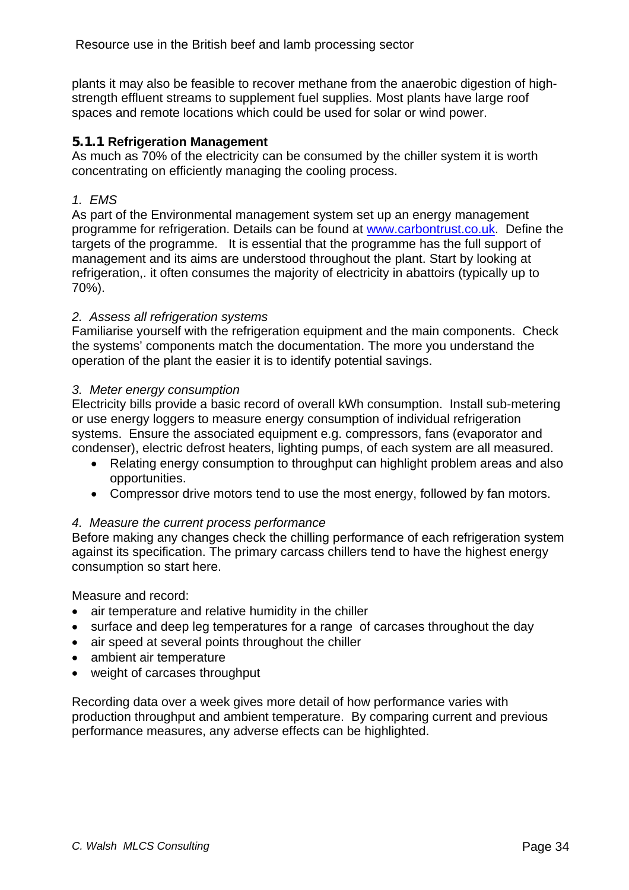<span id="page-33-0"></span>plants it may also be feasible to recover methane from the anaerobic digestion of highstrength effluent streams to supplement fuel supplies. Most plants have large roof spaces and remote locations which could be used for solar or wind power.

### **5.1.1 Refrigeration Management**

As much as 70% of the electricity can be consumed by the chiller system it is worth concentrating on efficiently managing the cooling process.

## *1. EMS*

As part of the Environmental management system set up an energy management programme for refrigeration. Details can be found at www.carbontrust.co.uk. Define the targets of the programme. It is essential that the programme has the full support of management and its aims are understood throughout the plant. Start by looking at refrigeration,. it often consumes the majority of electricity in abattoirs (typically up to 70%).

### *2. Assess all refrigeration systems*

Familiarise yourself with the refrigeration equipment and the main components. Check the systems' components match the documentation. The more you understand the operation of the plant the easier it is to identify potential savings.

#### *3. Meter energy consumption*

Electricity bills provide a basic record of overall kWh consumption. Install sub-metering or use energy loggers to measure energy consumption of individual refrigeration systems. Ensure the associated equipment e.g. compressors, fans (evaporator and condenser), electric defrost heaters, lighting pumps, of each system are all measured.

- Relating energy consumption to throughput can highlight problem areas and also opportunities.
- Compressor drive motors tend to use the most energy, followed by fan motors.

# *4. Measure the current process performance*

Before making any changes check the chilling performance of each refrigeration system against its specification. The primary carcass chillers tend to have the highest energy consumption so start here.

Measure and record:

- air temperature and relative humidity in the chiller
- surface and deep leg temperatures for a range of carcases throughout the day
- air speed at several points throughout the chiller
- ambient air temperature
- weight of carcases throughput

Recording data over a week gives more detail of how performance varies with production throughput and ambient temperature. By comparing current and previous performance measures, any adverse effects can be highlighted.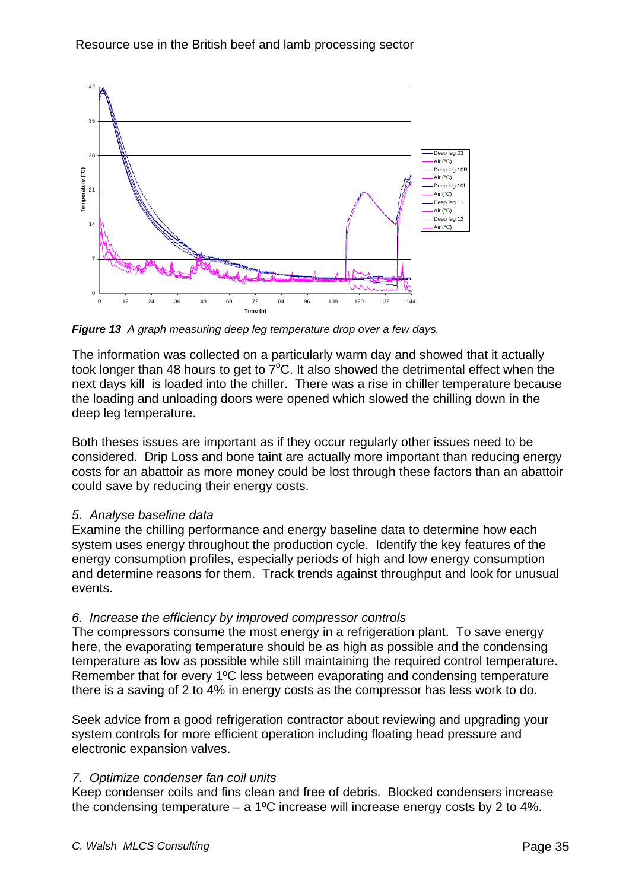

*Figure 13 A graph measuring deep leg temperature drop over a few days.* 

The information was collected on a particularly warm day and showed that it actually took longer than 48 hours to get to  $7^{\circ}$ C. It also showed the detrimental effect when the next days kill is loaded into the chiller. There was a rise in chiller temperature because the loading and unloading doors were opened which slowed the chilling down in the deep leg temperature.

Both theses issues are important as if they occur regularly other issues need to be considered. Drip Loss and bone taint are actually more important than reducing energy costs for an abattoir as more money could be lost through these factors than an abattoir could save by reducing their energy costs.

#### *5. Analyse baseline data*

Examine the chilling performance and energy baseline data to determine how each system uses energy throughout the production cycle. Identify the key features of the energy consumption profiles, especially periods of high and low energy consumption and determine reasons for them. Track trends against throughput and look for unusual events.

# *6. Increase the efficiency by improved compressor controls*

The compressors consume the most energy in a refrigeration plant. To save energy here, the evaporating temperature should be as high as possible and the condensing temperature as low as possible while still maintaining the required control temperature. Remember that for every 1ºC less between evaporating and condensing temperature there is a saving of 2 to 4% in energy costs as the compressor has less work to do.

Seek advice from a good refrigeration contractor about reviewing and upgrading your system controls for more efficient operation including floating head pressure and electronic expansion valves.

# *7. Optimize condenser fan coil units*

Keep condenser coils and fins clean and free of debris. Blocked condensers increase the condensing temperature – a 1<sup>o</sup>C increase will increase energy costs by 2 to 4%.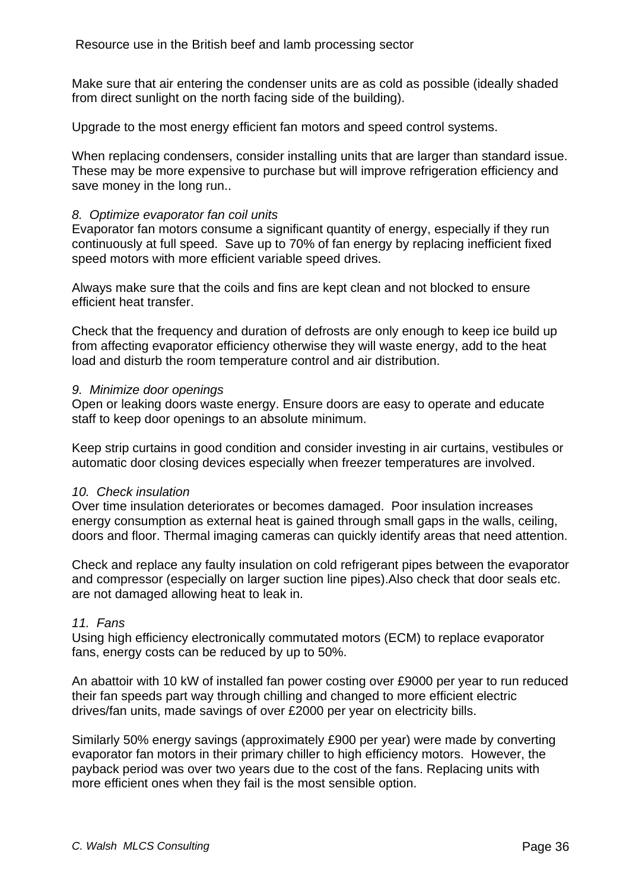Make sure that air entering the condenser units are as cold as possible (ideally shaded from direct sunlight on the north facing side of the building).

Upgrade to the most energy efficient fan motors and speed control systems.

When replacing condensers, consider installing units that are larger than standard issue. These may be more expensive to purchase but will improve refrigeration efficiency and save money in the long run..

#### *8. Optimize evaporator fan coil units*

Evaporator fan motors consume a significant quantity of energy, especially if they run continuously at full speed. Save up to 70% of fan energy by replacing inefficient fixed speed motors with more efficient variable speed drives.

Always make sure that the coils and fins are kept clean and not blocked to ensure efficient heat transfer.

Check that the frequency and duration of defrosts are only enough to keep ice build up from affecting evaporator efficiency otherwise they will waste energy, add to the heat load and disturb the room temperature control and air distribution.

#### *9. Minimize door openings*

Open or leaking doors waste energy. Ensure doors are easy to operate and educate staff to keep door openings to an absolute minimum.

Keep strip curtains in good condition and consider investing in air curtains, vestibules or automatic door closing devices especially when freezer temperatures are involved.

#### *10. Check insulation*

Over time insulation deteriorates or becomes damaged. Poor insulation increases energy consumption as external heat is gained through small gaps in the walls, ceiling, doors and floor. Thermal imaging cameras can quickly identify areas that need attention.

Check and replace any faulty insulation on cold refrigerant pipes between the evaporator and compressor (especially on larger suction line pipes).Also check that door seals etc. are not damaged allowing heat to leak in.

#### *11. Fans*

Using high efficiency electronically commutated motors (ECM) to replace evaporator fans, energy costs can be reduced by up to 50%.

An abattoir with 10 kW of installed fan power costing over £9000 per year to run reduced their fan speeds part way through chilling and changed to more efficient electric drives/fan units, made savings of over £2000 per year on electricity bills.

Similarly 50% energy savings (approximately £900 per year) were made by converting evaporator fan motors in their primary chiller to high efficiency motors. However, the payback period was over two years due to the cost of the fans. Replacing units with more efficient ones when they fail is the most sensible option.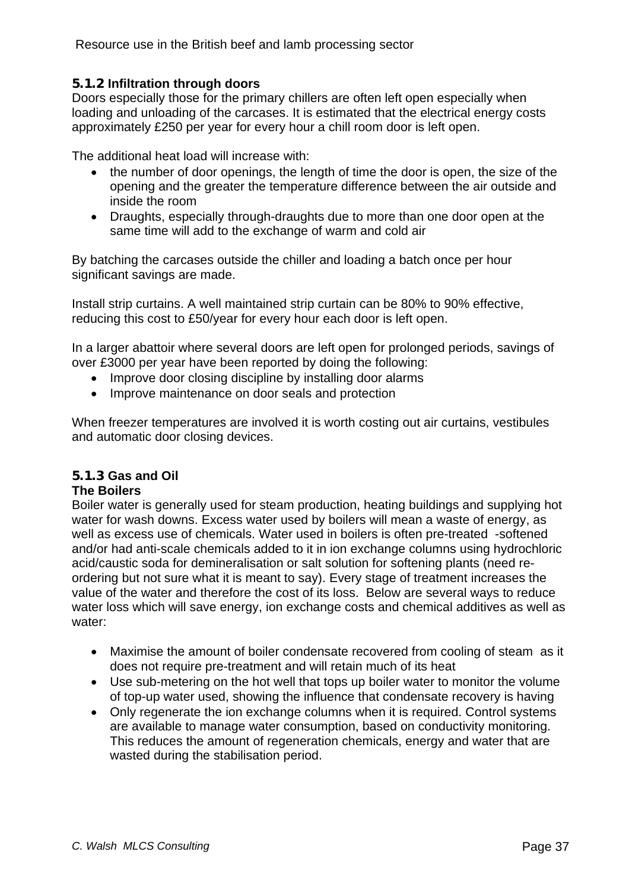# <span id="page-36-0"></span>**5.1.2 Infiltration through doors**

Doors especially those for the primary chillers are often left open especially when loading and unloading of the carcases. It is estimated that the electrical energy costs approximately £250 per year for every hour a chill room door is left open.

The additional heat load will increase with:

- the number of door openings, the length of time the door is open, the size of the opening and the greater the temperature difference between the air outside and inside the room
- Draughts, especially through-draughts due to more than one door open at the same time will add to the exchange of warm and cold air

By batching the carcases outside the chiller and loading a batch once per hour significant savings are made.

Install strip curtains. A well maintained strip curtain can be 80% to 90% effective, reducing this cost to £50/year for every hour each door is left open.

In a larger abattoir where several doors are left open for prolonged periods, savings of over £3000 per year have been reported by doing the following:

- Improve door closing discipline by installing door alarms
- Improve maintenance on door seals and protection

When freezer temperatures are involved it is worth costing out air curtains, vestibules and automatic door closing devices.

# **5.1.3 Gas and Oil**

# **The Boilers**

Boiler water is generally used for steam production, heating buildings and supplying hot water for wash downs. Excess water used by boilers will mean a waste of energy, as well as excess use of chemicals. Water used in boilers is often pre-treated -softened and/or had anti-scale chemicals added to it in ion exchange columns using hydrochloric acid/caustic soda for demineralisation or salt solution for softening plants (need reordering but not sure what it is meant to say). Every stage of treatment increases the value of the water and therefore the cost of its loss. Below are several ways to reduce water loss which will save energy, ion exchange costs and chemical additives as well as water:

- Maximise the amount of boiler condensate recovered from cooling of steam as it does not require pre-treatment and will retain much of its heat
- Use sub-metering on the hot well that tops up boiler water to monitor the volume of top-up water used, showing the influence that condensate recovery is having
- Only regenerate the ion exchange columns when it is required. Control systems are available to manage water consumption, based on conductivity monitoring. This reduces the amount of regeneration chemicals, energy and water that are wasted during the stabilisation period.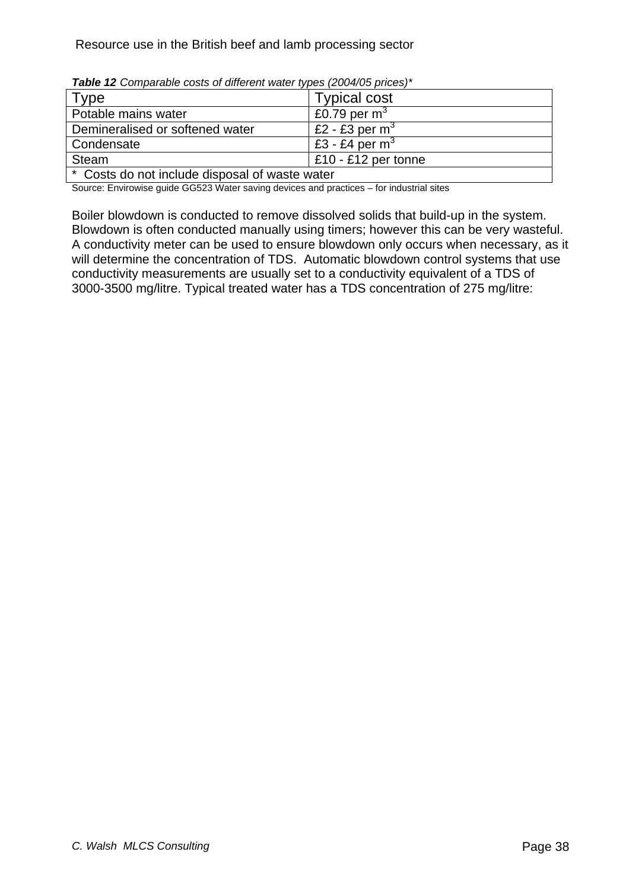| <b>Type</b>                                    | <b>Typical cost</b>   |
|------------------------------------------------|-----------------------|
| Potable mains water                            | £0.79 per $m3$        |
| Demineralised or softened water                | £2 - £3 per $m3$      |
| Condensate                                     | E3 - £4 per $m3$      |
| Steam                                          | $E10 - E12$ per tonne |
| * Costs do not include disposal of waste water |                       |

*Table 12 Comparable costs of different water types (2004/05 prices)\** 

Source: Envirowise guide GG523 Water saving devices and practices – for industrial sites

Boiler blowdown is conducted to remove dissolved solids that build-up in the system. Blowdown is often conducted manually using timers; however this can be very wasteful. A conductivity meter can be used to ensure blowdown only occurs when necessary, as it will determine the concentration of TDS. Automatic blowdown control systems that use conductivity measurements are usually set to a conductivity equivalent of a TDS of 3000-3500 mg/litre. Typical treated water has a TDS concentration of 275 mg/litre: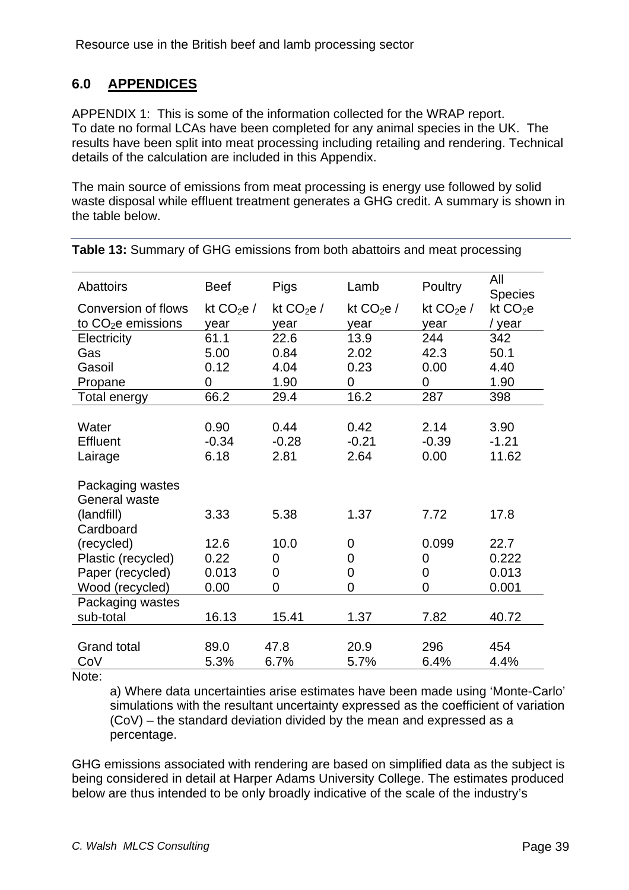# <span id="page-38-0"></span>**6.0 APPENDICES**

APPENDIX 1: This is some of the information collected for the WRAP report. To date no formal LCAs have been completed for any animal species in the UK. The results have been split into meat processing including retailing and rendering. Technical details of the calculation are included in this Appendix.

The main source of emissions from meat processing is energy use followed by solid waste disposal while effluent treatment generates a GHG credit. A summary is shown in the table below.

| <b>Abattoirs</b>    | <b>Beef</b> | Pigs       | Lamb       | Poultry    | All<br><b>Species</b> |
|---------------------|-------------|------------|------------|------------|-----------------------|
| Conversion of flows | kt $CO2e/$  | kt $CO2e/$ | kt $CO2e/$ | kt $CO2e/$ | kt $CO2e$             |
| to $CO2e$ emissions | year        | year       | year       | year       | / year                |
| Electricity         | 61.1        | 22.6       | 13.9       | 244        | 342                   |
| Gas                 | 5.00        | 0.84       | 2.02       | 42.3       | 50.1                  |
| Gasoil              | 0.12        | 4.04       | 0.23       | 0.00       | 4.40                  |
| Propane             | 0           | 1.90       | 0          | 0          | 1.90                  |
| Total energy        | 66.2        | 29.4       | 16.2       | 287        | 398                   |
|                     |             |            |            |            |                       |
| Water               | 0.90        | 0.44       | 0.42       | 2.14       | 3.90                  |
| Effluent            | $-0.34$     | $-0.28$    | $-0.21$    | $-0.39$    | $-1.21$               |
| Lairage             | 6.18        | 2.81       | 2.64       | 0.00       | 11.62                 |
|                     |             |            |            |            |                       |
| Packaging wastes    |             |            |            |            |                       |
| General waste       |             |            |            |            |                       |
| (landfill)          | 3.33        | 5.38       | 1.37       | 7.72       | 17.8                  |
| Cardboard           |             |            |            |            |                       |
| (recycled)          | 12.6        | 10.0       | 0          | 0.099      | 22.7                  |
| Plastic (recycled)  | 0.22        | 0          | 0          | 0          | 0.222                 |
| Paper (recycled)    | 0.013       | 0          | 0          | 0          | 0.013                 |
| Wood (recycled)     | 0.00        | 0          | 0          | 0          | 0.001                 |
| Packaging wastes    |             |            |            |            |                       |
| sub-total           | 16.13       | 15.41      | 1.37       | 7.82       | 40.72                 |
|                     |             |            |            |            |                       |
| <b>Grand total</b>  | 89.0        | 47.8       | 20.9       | 296        | 454                   |
| CoV                 | 5.3%        | 6.7%       | 5.7%       | 6.4%       | 4.4%                  |
|                     |             |            |            |            |                       |

**Table 13:** Summary of GHG emissions from both abattoirs and meat processing

Note:

a) Where data uncertainties arise estimates have been made using 'Monte-Carlo' simulations with the resultant uncertainty expressed as the coefficient of variation (CoV) – the standard deviation divided by the mean and expressed as a percentage.

GHG emissions associated with rendering are based on simplified data as the subject is being considered in detail at Harper Adams University College. The estimates produced below are thus intended to be only broadly indicative of the scale of the industry's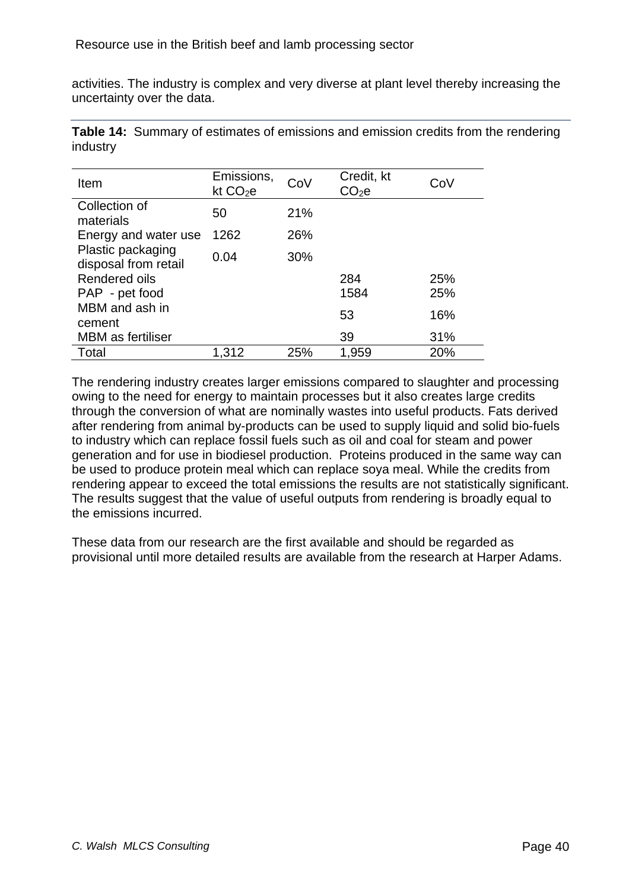activities. The industry is complex and very diverse at plant level thereby increasing the uncertainty over the data.

**Table 14:** Summary of estimates of emissions and emission credits from the rendering industry

| Item                                      | Emissions,<br>kt $CO2e$ | CoV | Credit, kt<br>CO2e | CoV |
|-------------------------------------------|-------------------------|-----|--------------------|-----|
| Collection of<br>materials                | 50                      | 21% |                    |     |
| Energy and water use                      | 1262                    | 26% |                    |     |
| Plastic packaging<br>disposal from retail | 0.04                    | 30% |                    |     |
| Rendered oils                             |                         |     | 284                | 25% |
| PAP - pet food                            |                         |     | 1584               | 25% |
| MBM and ash in<br>cement                  |                         |     | 53                 | 16% |
| <b>MBM</b> as fertiliser                  |                         |     | 39                 | 31% |
| Total                                     | 1,312                   | 25% | 1,959              | 20% |

The rendering industry creates larger emissions compared to slaughter and processing owing to the need for energy to maintain processes but it also creates large credits through the conversion of what are nominally wastes into useful products. Fats derived after rendering from animal by-products can be used to supply liquid and solid bio-fuels to industry which can replace fossil fuels such as oil and coal for steam and power generation and for use in biodiesel production. Proteins produced in the same way can be used to produce protein meal which can replace soya meal. While the credits from rendering appear to exceed the total emissions the results are not statistically significant. The results suggest that the value of useful outputs from rendering is broadly equal to the emissions incurred.

These data from our research are the first available and should be regarded as provisional until more detailed results are available from the research at Harper Adams.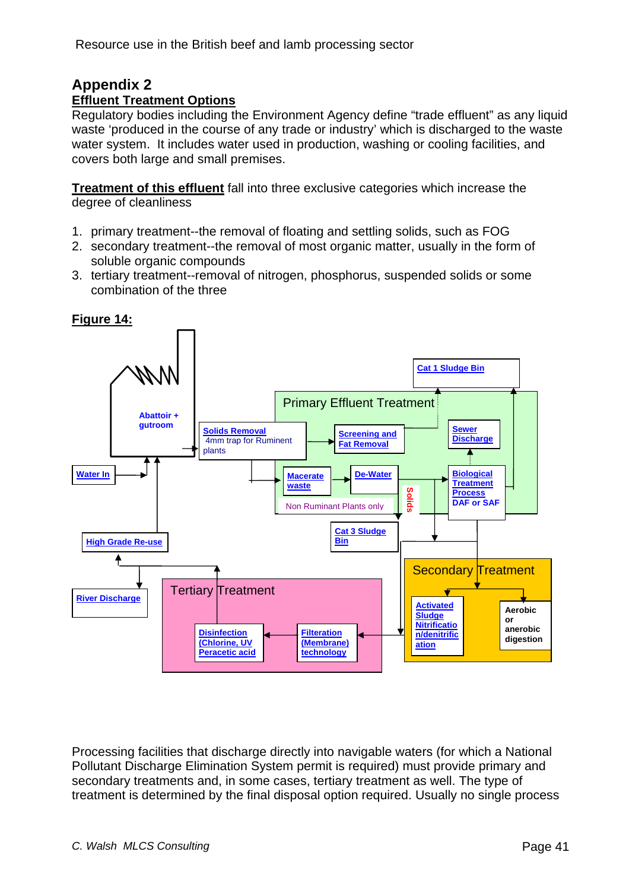# **Appendix 2**

# **Effluent Treatment Options**

Regulatory bodies including the Environment Agency define "trade effluent" as any liquid waste 'produced in the course of any trade or industry' which is discharged to the waste water system. It includes water used in production, washing or cooling facilities, and covers both large and small premises.

**Treatment of this effluent** fall into three exclusive categories which increase the degree of cleanliness

- 1. primary treatment--the removal of floating and settling solids, such as FOG
- 2. secondary treatment--the removal of most organic matter, usually in the form of soluble organic compounds
- 3. tertiary treatment--removal of nitrogen, phosphorus, suspended solids or some combination of the three



**Figure 14:** 

Processing facilities that discharge directly into navigable waters (for which a National Pollutant Discharge Elimination System permit is required) must provide primary and secondary treatments and, in some cases, tertiary treatment as well. The type of treatment is determined by the final disposal option required. Usually no single process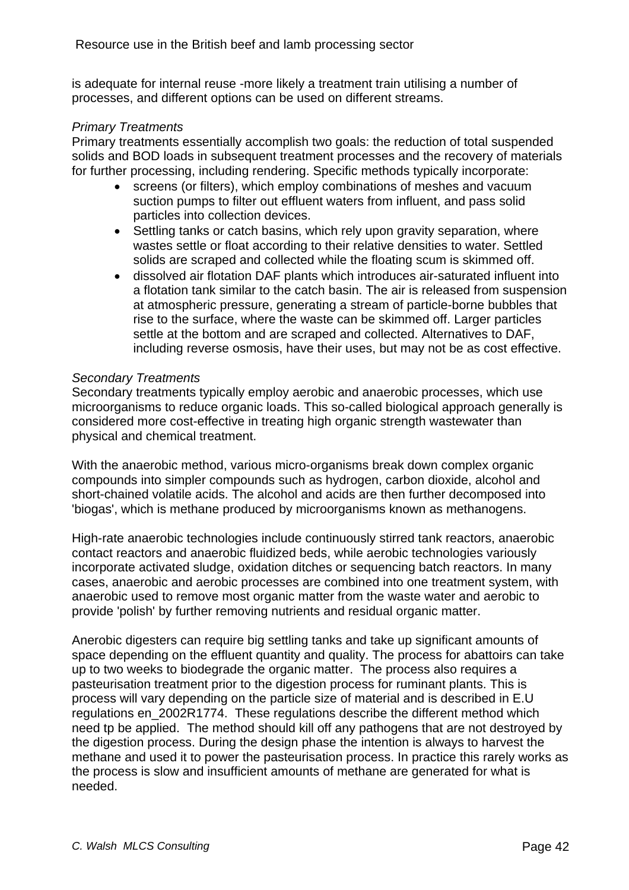<span id="page-41-0"></span>is adequate for internal reuse -more likely a treatment train utilising a number of processes, and different options can be used on different streams.

#### *Primary Treatments*

Primary treatments essentially accomplish two goals: the reduction of total suspended solids and BOD loads in subsequent treatment processes and the recovery of materials for further processing, including rendering. Specific methods typically incorporate:

- screens (or filters), which employ combinations of meshes and vacuum suction pumps to filter out effluent waters from influent, and pass solid particles into collection devices.
- Settling tanks or catch basins, which rely upon gravity separation, where wastes settle or float according to their relative densities to water. Settled solids are scraped and collected while the floating scum is skimmed off.
- dissolved air flotation DAF plants which introduces air-saturated influent into a flotation tank similar to the catch basin. The air is released from suspension at atmospheric pressure, generating a stream of particle-borne bubbles that rise to the surface, where the waste can be skimmed off. Larger particles settle at the bottom and are scraped and collected. Alternatives to DAF, including reverse osmosis, have their uses, but may not be as cost effective.

#### *Secondary Treatments*

Secondary treatments typically employ aerobic and anaerobic processes, which use microorganisms to reduce organic loads. This so-called biological approach generally is considered more cost-effective in treating high organic strength wastewater than physical and chemical treatment.

With the anaerobic method, various micro-organisms break down complex organic compounds into simpler compounds such as hydrogen, carbon dioxide, alcohol and short-chained volatile acids. The alcohol and acids are then further decomposed into 'biogas', which is methane produced by microorganisms known as methanogens.

High-rate anaerobic technologies include continuously stirred tank reactors, anaerobic contact reactors and anaerobic fluidized beds, while aerobic technologies variously incorporate activated sludge, oxidation ditches or sequencing batch reactors. In many cases, anaerobic and aerobic processes are combined into one treatment system, with anaerobic used to remove most organic matter from the waste water and aerobic to provide 'polish' by further removing nutrients and residual organic matter.

Anerobic digesters can require big settling tanks and take up significant amounts of space depending on the effluent quantity and quality. The process for abattoirs can take up to two weeks to biodegrade the organic matter. The process also requires a pasteurisation treatment prior to the digestion process for ruminant plants. This is process will vary depending on the particle size of material and is described in E.U regulations en 2002R1774. These regulations describe the different method which need tp be applied. The method should kill off any pathogens that are not destroyed by the digestion process. During the design phase the intention is always to harvest the methane and used it to power the pasteurisation process. In practice this rarely works as the process is slow and insufficient amounts of methane are generated for what is needed.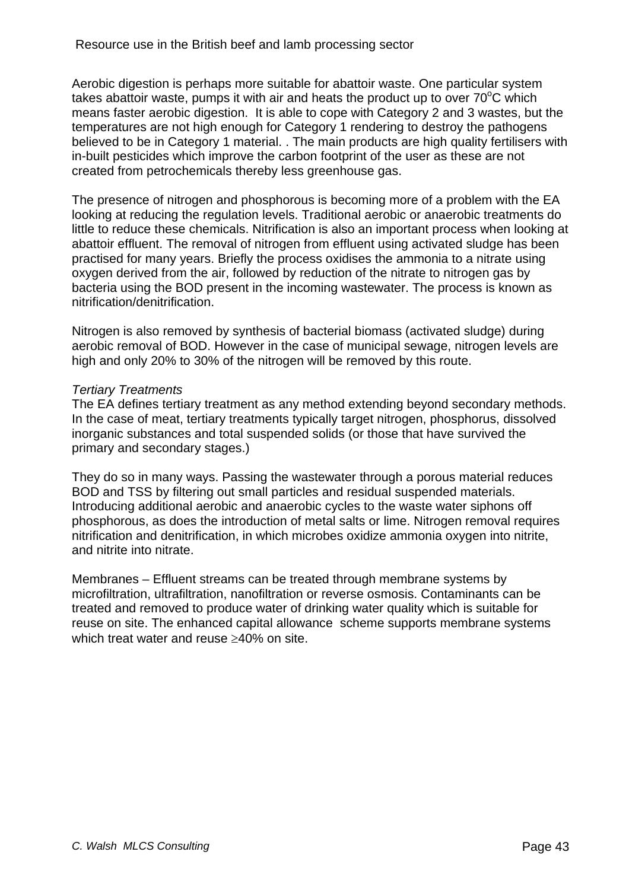Aerobic digestion is perhaps more suitable for abattoir waste. One particular system takes abattoir waste, pumps it with air and heats the product up to over  $70^{\circ}$ C which means faster aerobic digestion. It is able to cope with Category 2 and 3 wastes, but the temperatures are not high enough for Category 1 rendering to destroy the pathogens believed to be in Category 1 material. . The main products are high quality fertilisers with in-built pesticides which improve the carbon footprint of the user as these are not created from petrochemicals thereby less greenhouse gas.

The presence of nitrogen and phosphorous is becoming more of a problem with the EA looking at reducing the regulation levels. Traditional aerobic or anaerobic treatments do little to reduce these chemicals. Nitrification is also an important process when looking at abattoir effluent. The removal of nitrogen from effluent using activated sludge has been practised for many years. Briefly the process oxidises the ammonia to a nitrate using oxygen derived from the air, followed by reduction of the nitrate to nitrogen gas by bacteria using the BOD present in the incoming wastewater. The process is known as nitrification/denitrification.

Nitrogen is also removed by synthesis of bacterial biomass (activated sludge) during aerobic removal of BOD. However in the case of municipal sewage, nitrogen levels are high and only 20% to 30% of the nitrogen will be removed by this route.

#### *Tertiary Treatments*

The EA defines tertiary treatment as any method extending beyond secondary methods. In the case of meat, tertiary treatments typically target nitrogen, phosphorus, dissolved inorganic substances and total suspended solids (or those that have survived the primary and secondary stages.)

They do so in many ways. Passing the wastewater through a porous material reduces BOD and TSS by filtering out small particles and residual suspended materials. Introducing additional aerobic and anaerobic cycles to the waste water siphons off phosphorous, as does the introduction of metal salts or lime. Nitrogen removal requires nitrification and denitrification, in which microbes oxidize ammonia oxygen into nitrite, and nitrite into nitrate.

Membranes – Effluent streams can be treated through membrane systems by microfiltration, ultrafiltration, nanofiltration or reverse osmosis. Contaminants can be treated and removed to produce water of drinking water quality which is suitable for reuse on site. The enhanced capital allowance scheme supports membrane systems which treat water and reuse >40% on site.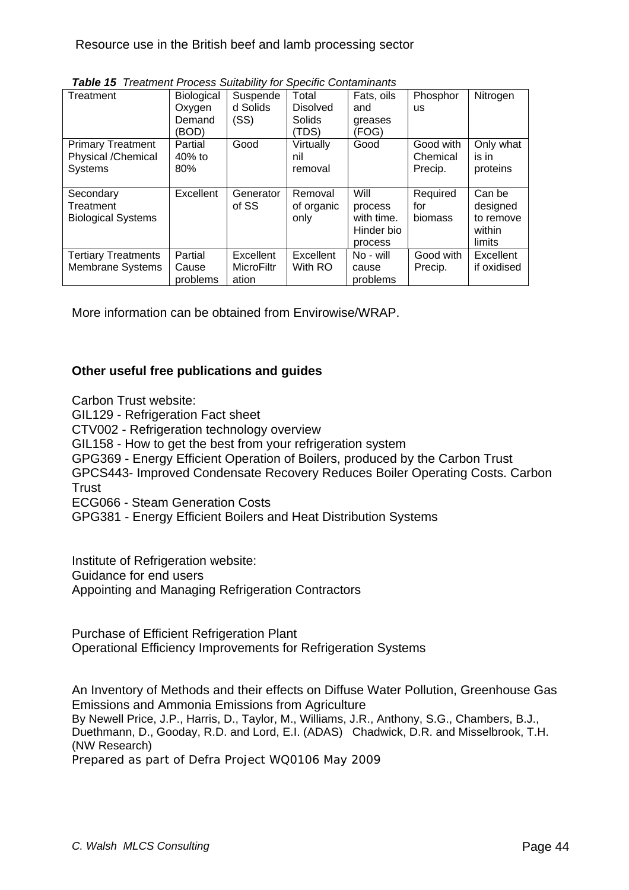| Treatment                  | <b>Biological</b> | Suspende          | Total           | Fats, oils | Phosphor  | Nitrogen    |
|----------------------------|-------------------|-------------------|-----------------|------------|-----------|-------------|
|                            | Oxygen            | d Solids          | <b>Disolved</b> | and        | <b>us</b> |             |
|                            | Demand            | (SS)              | Solids          | greases    |           |             |
|                            | (BOD)             |                   | 'TDS)           | (FOG)      |           |             |
| <b>Primary Treatment</b>   | Partial           | Good              | Virtually       | Good       | Good with | Only what   |
| Physical /Chemical         | $40\%$ to         |                   | nil             |            | Chemical  | is in       |
| <b>Systems</b>             | 80%               |                   | removal         |            | Precip.   | proteins    |
|                            |                   |                   |                 |            |           |             |
| Secondary                  | Excellent         | Generator         | Removal         | Will       | Required  | Can be      |
| Treatment                  |                   | of SS             | of organic      | process    | for       | designed    |
| <b>Biological Systems</b>  |                   |                   | only            | with time. | biomass   | to remove   |
|                            |                   |                   |                 | Hinder bio |           | within      |
|                            |                   |                   |                 | process    |           | limits      |
| <b>Tertiary Treatments</b> | Partial           | Excellent         | Excellent       | No - will  | Good with | Excellent   |
| <b>Membrane Systems</b>    | Cause             | <b>MicroFiltr</b> | With RO         | cause      | Precip.   | if oxidised |
|                            | problems          | ation             |                 | problems   |           |             |

*Table 15 Treatment Process Suitability for Specific Contaminants* 

More information can be obtained from Envirowise/WRAP.

#### **Other useful free publications and guides**

Carbon Trust website:

[GIL129 - Refrigeration Fact sheet](http://www.carbontrust.co.uk/Publications/publicationdetail.htm?productid=gil129)

[CTV002 - Refrigeration technology overview](http://www.carbontrust.co.uk/Publications/publicationdetail.htm?productid=CTV002)

[GIL158 - How to get the best from your refrigeration system](http://www.carbontrust.co.uk/Publications/publicationdetail.htm?productid=GIL158)

GPG369 - Energy Efficient Operation of Boilers, produced by the Carbon Trust

GPCS443- Improved Condensate Recovery Reduces Boiler Operating Costs. Carbon **Trust** 

ECG066 - Steam Generation Costs

GPG381 - Energy Efficient Boilers and Heat Distribution Systems

Institute of Refrigeration website:

Guidance for end users

[Appointing and Managing Refrigeration Contractors](http://www.ior.org.uk/ior_/images/pdf/general/REI-G1%20Appointing%20a%20contractor%20-%20Jul-07.pdf)

[Purchase of Efficient Refrigeration Plant](http://www.ior.org.uk/ior_/images/pdf/general/REI-G2%20Purchase%20of%20Efficient%20New%20Plant%20-%20Jul-07.pdf)  [Operational Efficiency Improvements for Refrigeration Systems](http://www.ior.org.uk/ior_/images/pdf/general/REI-G3%20Operational%20Improvements%20-%20Final%20Jul-07.pdf)

An Inventory of Methods and their effects on Diffuse Water Pollution, Greenhouse Gas Emissions and Ammonia Emissions from Agriculture By Newell Price, J.P., Harris, D., Taylor, M., Williams, J.R., Anthony, S.G., Chambers, B.J., Duethmann, D., Gooday, R.D. and Lord, E.I. (ADAS) Chadwick, D.R. and Misselbrook, T.H. (NW Research) Prepared as part of Defra Project WQ0106 *May 2009*